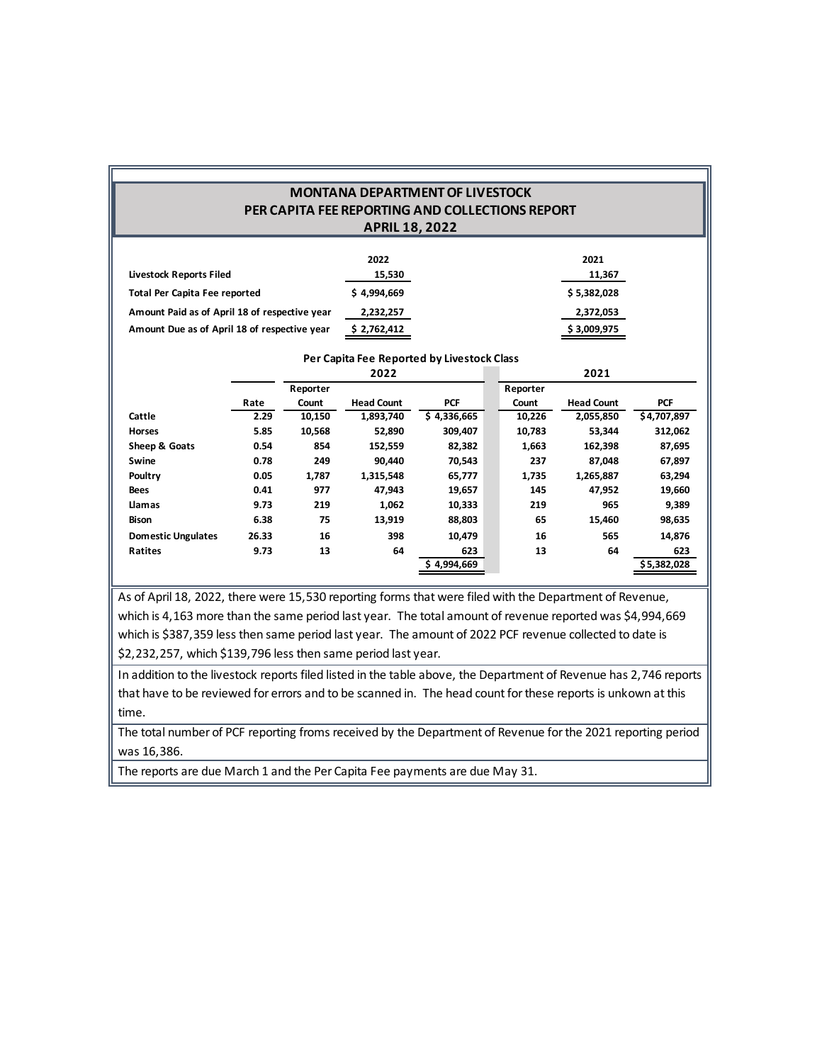### **MONTANA DEPARTMENT OF LIVESTOCK PER CAPITA FEE REPORTING AND COLLECTIONS REPORT APRIL 18, 2022**

|                                               | 2022        | 2021        |
|-----------------------------------------------|-------------|-------------|
| Livestock Reports Filed                       | 15,530      | 11,367      |
| <b>Total Per Capita Fee reported</b>          | \$4,994,669 | \$5,382,028 |
| Amount Paid as of April 18 of respective year | 2,232,257   | 2,372,053   |
| Amount Due as of April 18 of respective year  | \$2,762,412 | \$3,009,975 |

#### **Per Capita Fee Reported by Livestock Class**

|                           |       |          | 2022              |             |          | 2021              |             |
|---------------------------|-------|----------|-------------------|-------------|----------|-------------------|-------------|
|                           |       | Reporter |                   |             | Reporter |                   |             |
|                           | Rate  | Count    | <b>Head Count</b> | <b>PCF</b>  | Count    | <b>Head Count</b> | <b>PCF</b>  |
| Cattle                    | 2.29  | 10,150   | 1,893,740         | \$4,336,665 | 10,226   | 2,055,850         | \$4,707,897 |
| <b>Horses</b>             | 5.85  | 10,568   | 52,890            | 309,407     | 10,783   | 53,344            | 312,062     |
| Sheep & Goats             | 0.54  | 854      | 152,559           | 82,382      | 1,663    | 162,398           | 87,695      |
| Swine                     | 0.78  | 249      | 90.440            | 70,543      | 237      | 87,048            | 67,897      |
| Poultry                   | 0.05  | 1,787    | 1,315,548         | 65,777      | 1,735    | 1,265,887         | 63,294      |
| <b>Bees</b>               | 0.41  | 977      | 47,943            | 19,657      | 145      | 47,952            | 19,660      |
| Llamas                    | 9.73  | 219      | 1,062             | 10,333      | 219      | 965               | 9,389       |
| Bison                     | 6.38  | 75       | 13,919            | 88,803      | 65       | 15,460            | 98,635      |
| <b>Domestic Ungulates</b> | 26.33 | 16       | 398               | 10.479      | 16       | 565               | 14,876      |
| Ratites                   | 9.73  | 13       | 64                | 623         | 13       | 64                | 623         |
|                           |       |          |                   | \$4,994,669 |          |                   | \$5,382,028 |

As of April 18, 2022, there were 15,530 reporting forms that were filed with the Department of Revenue, which is 4,163 more than the same period last year. The total amount of revenue reported was \$4,994,669 which is \$387,359 less then same period last year. The amount of 2022 PCF revenue collected to date is \$2,232,257, which \$139,796 less then same period last year.

In addition to the livestock reports filed listed in the table above, the Department of Revenue has 2,746 reports that have to be reviewed for errors and to be scanned in. The head count for these reports is unkown at this time.

The total number of PCF reporting froms received by the Department of Revenue forthe 2021 reporting period was 16,386.

The reports are due March 1 and the Per Capita Fee payments are due May 31.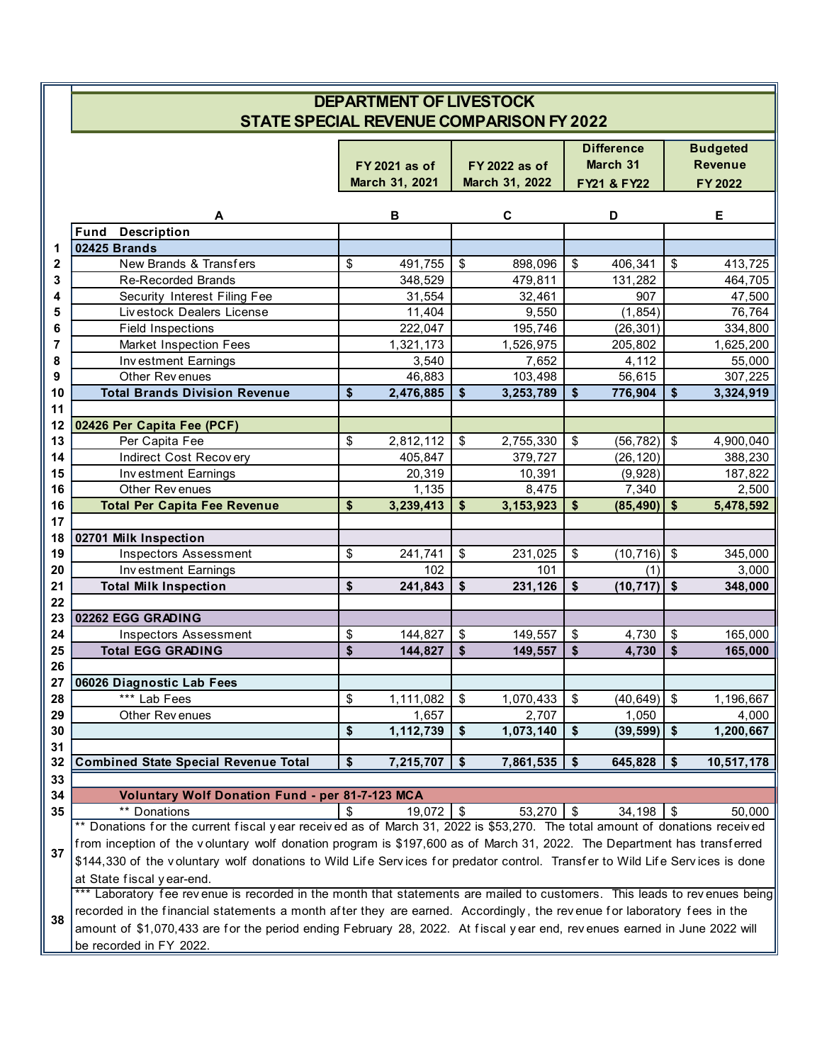|          |                                                                                                                              | <b>DEPARTMENT OF LIVESTOCK</b> |                           |                |                         |                               |                         |                                   |
|----------|------------------------------------------------------------------------------------------------------------------------------|--------------------------------|---------------------------|----------------|-------------------------|-------------------------------|-------------------------|-----------------------------------|
|          | <b>STATE SPECIAL REVENUE COMPARISON FY 2022</b>                                                                              | FY 2021 as of                  |                           | FY 2022 as of  |                         | <b>Difference</b><br>March 31 |                         | <b>Budgeted</b><br><b>Revenue</b> |
|          |                                                                                                                              | March 31, 2021                 |                           | March 31, 2022 |                         | FY21 & FY22                   |                         | FY 2022                           |
|          | A                                                                                                                            | В                              |                           | C              |                         | D                             |                         | E                                 |
|          | Fund<br><b>Description</b>                                                                                                   |                                |                           |                |                         |                               |                         |                                   |
| 1        | <b>02425 Brands</b>                                                                                                          |                                |                           |                |                         |                               |                         |                                   |
| 2        | New Brands & Transfers                                                                                                       | \$<br>491,755                  | $\boldsymbol{\mathsf{S}}$ | 898,096        | \$                      | 406,341                       | \$                      | 413,725                           |
| 3        | Re-Recorded Brands                                                                                                           | 348,529                        |                           | 479,811        |                         | 131,282                       |                         | 464,705                           |
| 4        | Security Interest Filing Fee                                                                                                 | 31,554                         |                           | 32,461         |                         | 907                           |                         | 47,500                            |
| 5        | Livestock Dealers License                                                                                                    | 11,404                         |                           | 9,550          |                         | (1, 854)                      |                         | 76,764                            |
| 6        | <b>Field Inspections</b>                                                                                                     | 222,047                        |                           | 195,746        |                         | (26, 301)                     |                         | 334,800                           |
| 7        | Market Inspection Fees                                                                                                       | 1,321,173                      |                           | 1,526,975      |                         | 205,802                       |                         | 1,625,200                         |
| 8        | Investment Earnings                                                                                                          | 3,540                          |                           | 7,652          |                         | 4,112                         |                         | 55,000                            |
| 9        | Other Revenues                                                                                                               | 46,883                         |                           | 103,498        |                         | 56,615                        |                         | 307,225                           |
| 10       | <b>Total Brands Division Revenue</b>                                                                                         | \$<br>2,476,885                | \$                        | 3,253,789      | $\sqrt[6]{\frac{1}{2}}$ | 776,904                       | \$                      | 3,324,919                         |
| 11       |                                                                                                                              |                                |                           |                |                         |                               |                         |                                   |
| 12       | 02426 Per Capita Fee (PCF)                                                                                                   |                                |                           |                |                         |                               |                         |                                   |
| 13       | Per Capita Fee                                                                                                               | \$<br>2,812,112                | $\boldsymbol{\mathsf{S}}$ | 2,755,330      | $\frac{1}{2}$           | (56, 782)                     | \$                      | 4,900,040                         |
| 14       | Indirect Cost Recovery                                                                                                       | 405,847                        |                           | 379,727        |                         | (26, 120)                     |                         | 388,230                           |
| 15       | Investment Earnings                                                                                                          | 20,319                         |                           | 10,391         |                         | (9,928)                       |                         | 187,822                           |
| 16       | Other Revenues                                                                                                               | 1,135                          |                           | 8,475          |                         | 7,340                         |                         | 2,500                             |
| 16       | <b>Total Per Capita Fee Revenue</b>                                                                                          | \$<br>3,239,413                | \$                        | 3, 153, 923    | \$                      | (85, 490)                     | \$                      | 5,478,592                         |
| 17       |                                                                                                                              |                                |                           |                |                         |                               |                         |                                   |
| 18       | 02701 Milk Inspection                                                                                                        | 241,741                        |                           |                |                         |                               |                         |                                   |
| 19       | <b>Inspectors Assessment</b>                                                                                                 | \$<br>102                      | $\boldsymbol{\mathsf{S}}$ | 231,025<br>101 | \$                      | (10, 716)<br>(1)              | \$                      | 345,000                           |
| 20       | Investment Earnings                                                                                                          | \$<br>241,843                  | \$                        | 231,126        | \$                      | (10, 717)                     | \$                      | 3,000                             |
| 21<br>22 | <b>Total Milk Inspection</b>                                                                                                 |                                |                           |                |                         |                               |                         | 348,000                           |
| 23       | 02262 EGG GRADING                                                                                                            |                                |                           |                |                         |                               |                         |                                   |
| 24       | <b>Inspectors Assessment</b>                                                                                                 | \$<br>144,827                  | \$                        | 149,557        | \$                      | 4,730                         | \$                      | 165,000                           |
| 25       | <b>Total EGG GRADING</b>                                                                                                     | \$<br>144,827                  | $\sqrt{2}$                | 149,557        | \$                      | 4,730                         | $\sqrt[6]{\frac{1}{2}}$ | 165,000                           |
| 26       |                                                                                                                              |                                |                           |                |                         |                               |                         |                                   |
|          | 27 06026 Diagnostic Lab Fees                                                                                                 |                                |                           |                |                         |                               |                         |                                   |
| 28       | *** Lab Fees                                                                                                                 | \$<br>1,111,082                | \$                        | 1,070,433      | \$                      | (40, 649)                     | \$                      | 1,196,667                         |
| 29       | Other Revenues                                                                                                               | 1,657                          |                           | 2,707          |                         | 1,050                         |                         | 4,000                             |
| 30       |                                                                                                                              | \$<br>1,112,739                | $\sqrt[6]{\frac{1}{2}}$   | 1,073,140      | \$                      | (39, 599)                     | \$                      | 1,200,667                         |
| 31       |                                                                                                                              |                                |                           |                |                         |                               |                         |                                   |
| 32       | <b>Combined State Special Revenue Total</b>                                                                                  | \$<br>7,215,707                | -\$                       | 7,861,535      | \$                      | 645,828                       | \$                      | 10,517,178                        |
| 33       |                                                                                                                              |                                |                           |                |                         |                               |                         |                                   |
| 34       | Voluntary Wolf Donation Fund - per 81-7-123 MCA                                                                              |                                |                           |                |                         |                               |                         |                                   |
| 35       | ** Donations                                                                                                                 | 19,072                         | -\$                       | 53,270         | \$                      | 34,198                        | \$                      | 50,000                            |
|          | ** Donations for the current fiscal year received as of March 31, 2022 is \$53,270. The total amount of donations received   |                                |                           |                |                         |                               |                         |                                   |
|          | from inception of the voluntary wolf donation program is \$197,600 as of March 31, 2022. The Department has transferred      |                                |                           |                |                         |                               |                         |                                   |
| 37       | \$144,330 of the voluntary wolf donations to Wild Life Services for predator control. Transfer to Wild Life Services is done |                                |                           |                |                         |                               |                         |                                   |
|          | at State fiscal year-end.                                                                                                    |                                |                           |                |                         |                               |                         |                                   |
|          | *** Laboratory fee revenue is recorded in the month that statements are mailed to customers. This leads to revenues being    |                                |                           |                |                         |                               |                         |                                   |
|          | recorded in the financial statements a month after they are earned. Accordingly, the revenue for laboratory fees in the      |                                |                           |                |                         |                               |                         |                                   |
| 38       | amount of \$1,070,433 are for the period ending February 28, 2022. At fiscal year end, revenues earned in June 2022 will     |                                |                           |                |                         |                               |                         |                                   |
|          | be recorded in FY 2022.                                                                                                      |                                |                           |                |                         |                               |                         |                                   |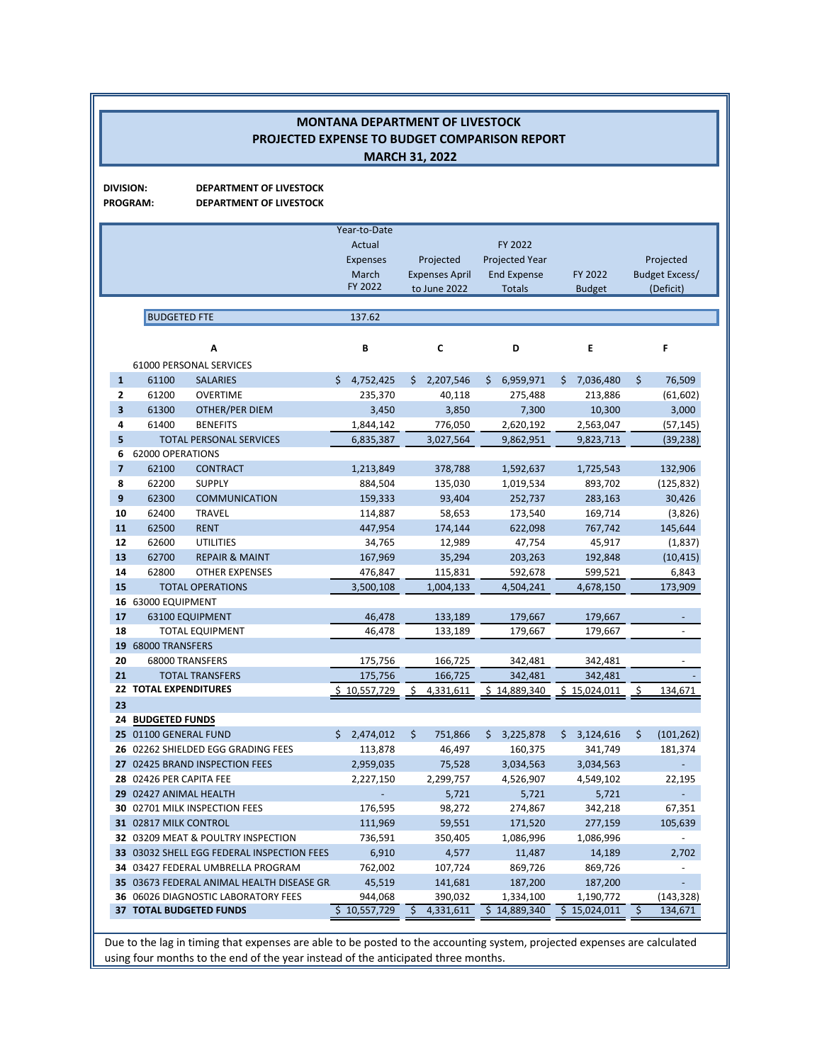|                         |                                                   | <b>PROJECTED EXPENSE TO BUDGET COMPARISON REPORT</b>           |                                                    | <b>MONTANA DEPARTMENT OF LIVESTOCK</b><br><b>MARCH 31, 2022</b> |                                                        |                           |                                    |
|-------------------------|---------------------------------------------------|----------------------------------------------------------------|----------------------------------------------------|-----------------------------------------------------------------|--------------------------------------------------------|---------------------------|------------------------------------|
| <b>DIVISION:</b>        | <b>PROGRAM:</b>                                   | <b>DEPARTMENT OF LIVESTOCK</b><br>DEPARTMENT OF LIVESTOCK      |                                                    |                                                                 |                                                        |                           |                                    |
|                         |                                                   |                                                                | Year-to-Date<br>Actual<br><b>Expenses</b><br>March | Projected<br><b>Expenses April</b>                              | FY 2022<br><b>Projected Year</b><br><b>End Expense</b> | FY 2022                   | Projected<br><b>Budget Excess/</b> |
|                         |                                                   |                                                                | FY 2022                                            | to June 2022                                                    | <b>Totals</b>                                          | <b>Budget</b>             | (Deficit)                          |
|                         | <b>BUDGETED FTE</b>                               |                                                                | 137.62                                             |                                                                 |                                                        |                           |                                    |
|                         |                                                   |                                                                |                                                    |                                                                 |                                                        |                           |                                    |
|                         |                                                   | Α<br>61000 PERSONAL SERVICES                                   | B                                                  | C                                                               | D                                                      | E                         | F                                  |
| $\mathbf{1}$            | 61100                                             | <b>SALARIES</b>                                                | \$4,752,425                                        | \$.<br>2,207,546                                                | \$.<br>6,959,971                                       | 7,036,480<br>\$.          | \$<br>76,509                       |
| $\mathbf{2}$            | 61200                                             | <b>OVERTIME</b>                                                | 235,370                                            | 40,118                                                          | 275,488                                                | 213,886                   | (61, 602)                          |
| $\overline{\mathbf{3}}$ | 61300                                             | OTHER/PER DIEM                                                 | 3,450                                              | 3,850                                                           | 7,300                                                  | 10,300                    | 3,000                              |
| 4                       | 61400                                             | <b>BENEFITS</b>                                                | 1,844,142                                          | 776,050                                                         | 2,620,192                                              | 2,563,047                 | (57, 145)                          |
| 5                       |                                                   | <b>TOTAL PERSONAL SERVICES</b>                                 | 6,835,387                                          | 3,027,564                                                       | 9,862,951                                              | 9,823,713                 | (39, 238)                          |
| 6                       | 62000 OPERATIONS                                  |                                                                |                                                    |                                                                 |                                                        |                           |                                    |
| $\overline{7}$          | 62100                                             | <b>CONTRACT</b>                                                | 1,213,849                                          | 378,788                                                         | 1,592,637                                              | 1,725,543                 | 132,906                            |
| 8                       | 62200                                             | <b>SUPPLY</b>                                                  | 884,504                                            | 135,030                                                         | 1,019,534                                              | 893,702                   | (125, 832)                         |
| 9                       | 62300                                             | <b>COMMUNICATION</b>                                           | 159,333                                            | 93,404                                                          | 252,737                                                | 283,163                   | 30,426                             |
| 10<br>11                | 62400<br>62500                                    | <b>TRAVEL</b><br><b>RENT</b>                                   | 114,887<br>447,954                                 | 58,653<br>174,144                                               | 173,540<br>622,098                                     | 169,714<br>767,742        | (3,826)<br>145,644                 |
| 12                      | 62600                                             | <b>UTILITIES</b>                                               | 34,765                                             | 12,989                                                          | 47,754                                                 | 45,917                    | (1,837)                            |
| 13                      | 62700                                             | <b>REPAIR &amp; MAINT</b>                                      | 167,969                                            | 35,294                                                          | 203,263                                                | 192,848                   | (10, 415)                          |
| 14                      | 62800                                             | <b>OTHER EXPENSES</b>                                          | 476,847                                            | 115,831                                                         | 592,678                                                | 599,521                   | 6,843                              |
| 15                      |                                                   | <b>TOTAL OPERATIONS</b>                                        | 3,500,108                                          | 1,004,133                                                       | 4,504,241                                              | 4,678,150                 | 173,909                            |
| 16                      | 63000 EQUIPMENT                                   |                                                                |                                                    |                                                                 |                                                        |                           |                                    |
| 17                      |                                                   | 63100 EQUIPMENT                                                | 46,478                                             | 133,189                                                         | 179,667                                                | 179,667                   | $\sim$                             |
| 18                      |                                                   | <b>TOTAL EQUIPMENT</b>                                         | 46,478                                             | 133,189                                                         | 179,667                                                | 179,667                   | $\overline{\phantom{a}}$           |
| 19                      | 68000 TRANSFERS                                   |                                                                |                                                    |                                                                 |                                                        |                           |                                    |
| 20                      |                                                   | 68000 TRANSFERS                                                | 175,756                                            | 166,725                                                         | 342,481                                                | 342,481                   |                                    |
| 21                      |                                                   | <b>TOTAL TRANSFERS</b>                                         | 175,756                                            | 166.725                                                         | 342,481                                                | 342.481                   |                                    |
|                         | <b>22 TOTAL EXPENDITURES</b>                      |                                                                | \$10,557,729                                       | Ś.<br>4,331,611                                                 | \$14,889,340                                           | \$15,024,011              | \$<br>134,671                      |
| 23                      |                                                   |                                                                |                                                    |                                                                 |                                                        |                           |                                    |
|                         | <b>24 BUDGETED FUNDS</b><br>25 01100 GENERAL FUND |                                                                | \$2,474,012                                        | 751,866<br>\$                                                   |                                                        | 3,124,616<br>\$.          | \$<br>(101, 262)                   |
|                         |                                                   | 26 02262 SHIELDED EGG GRADING FEES                             | 113,878                                            | 46,497                                                          | 3,225,878<br>Ş.<br>160,375                             | 341,749                   | 181,374                            |
|                         |                                                   | 27 02425 BRAND INSPECTION FEES                                 | 2,959,035                                          | 75,528                                                          | 3,034,563                                              | 3,034,563                 | $\blacksquare$                     |
|                         | 28 02426 PER CAPITA FEE                           |                                                                | 2,227,150                                          | 2,299,757                                                       | 4,526,907                                              | 4,549,102                 | 22,195                             |
|                         | 29 02427 ANIMAL HEALTH                            |                                                                |                                                    | 5,721                                                           | 5,721                                                  | 5,721                     |                                    |
|                         |                                                   | 30 02701 MILK INSPECTION FEES                                  | 176,595                                            | 98,272                                                          | 274,867                                                | 342,218                   | 67,351                             |
|                         | 31 02817 MILK CONTROL                             |                                                                | 111,969                                            | 59,551                                                          | 171,520                                                | 277,159                   | 105,639                            |
|                         |                                                   | 32 03209 MEAT & POULTRY INSPECTION                             | 736,591                                            | 350,405                                                         | 1,086,996                                              | 1,086,996                 | $\overline{\phantom{a}}$           |
|                         |                                                   | 33 03032 SHELL EGG FEDERAL INSPECTION FEES                     | 6,910                                              | 4,577                                                           | 11,487                                                 | 14,189                    | 2,702                              |
|                         |                                                   | 34 03427 FEDERAL UMBRELLA PROGRAM                              | 762,002                                            | 107,724                                                         | 869,726                                                | 869,726                   |                                    |
|                         |                                                   | 35 03673 FEDERAL ANIMAL HEALTH DISEASE GR.                     | 45,519                                             | 141,681                                                         | 187,200                                                | 187,200                   |                                    |
|                         |                                                   | 36 06026 DIAGNOSTIC LABORATORY FEES<br>37 TOTAL BUDGETED FUNDS | 944,068<br>\$10,557,729                            | 390,032<br>S.                                                   | 1,334,100<br>\$14,889,340                              | 1,190,772<br>\$15,024,011 | (143,328)<br>\$                    |
|                         |                                                   |                                                                |                                                    | 4,331,611                                                       |                                                        |                           | 134,671                            |

Due to the lag in timing that expenses are able to be posted to the accounting system, projected expenses are calculated using four months to the end of the year instead of the anticipated three months.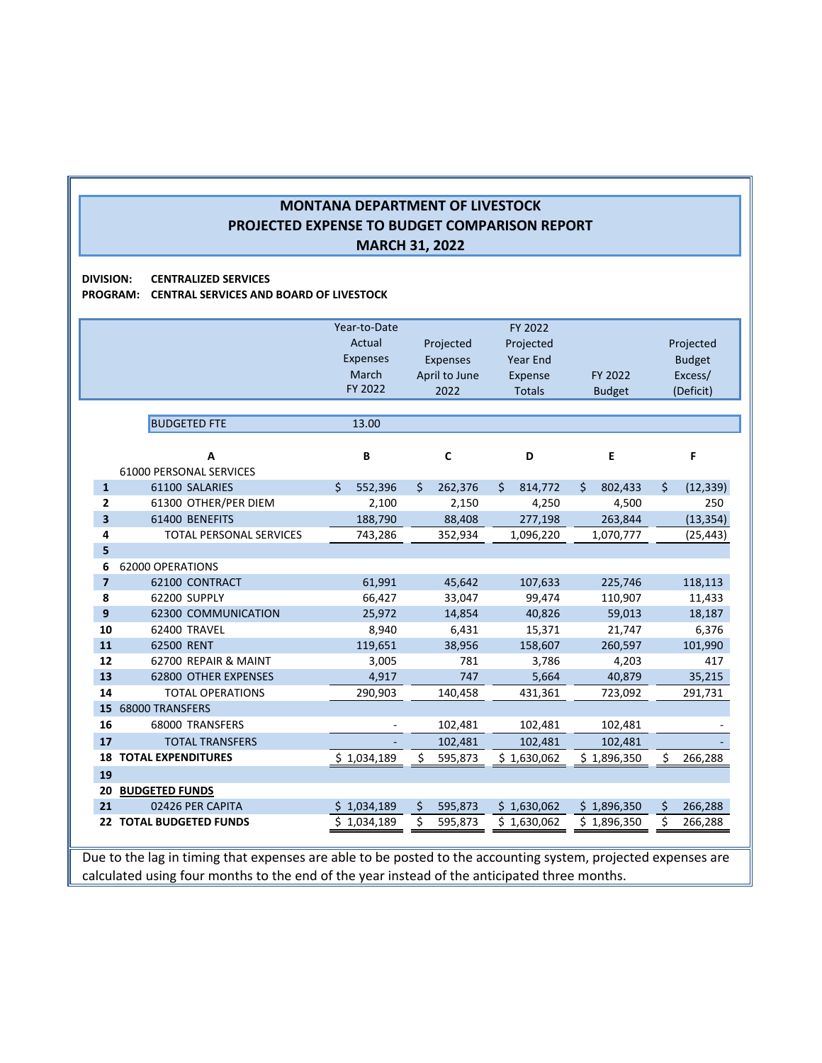**DIVISION: CENTRALIZED SERVICES**

**PROGRAM: CENTRAL SERVICES AND BOARD OF LIVESTOCK**

|                         |                                | Year-to-Date    |                 | FY 2022         |               |                 |
|-------------------------|--------------------------------|-----------------|-----------------|-----------------|---------------|-----------------|
|                         |                                | Actual          | Projected       | Projected       |               | Projected       |
|                         |                                | <b>Expenses</b> | <b>Expenses</b> | <b>Year End</b> |               | <b>Budget</b>   |
|                         |                                | March           | April to June   | Expense         | FY 2022       | Excess/         |
|                         |                                | FY 2022         | 2022            | <b>Totals</b>   | <b>Budget</b> | (Deficit)       |
|                         |                                |                 |                 |                 |               |                 |
|                         | <b>BUDGETED FTE</b>            | 13.00           |                 |                 |               |                 |
|                         |                                |                 |                 |                 |               |                 |
|                         | A                              | В               | C               | D               | E             | F               |
|                         | <b>61000 PERSONAL SERVICES</b> |                 |                 |                 |               |                 |
| $\mathbf{1}$            | 61100 SALARIES                 | Ś.<br>552,396   | \$<br>262,376   | Ś.<br>814,772   | \$<br>802,433 | \$<br>(12, 339) |
| $\overline{2}$          | 61300 OTHER/PER DIEM           | 2,100           | 2,150           | 4,250           | 4,500         | 250             |
| $\overline{\mathbf{3}}$ | 61400 BENEFITS                 | 188,790         | 88,408          | 277,198         | 263,844       | (13, 354)       |
| 4                       | <b>TOTAL PERSONAL SERVICES</b> | 743,286         | 352,934         | 1,096,220       | 1,070,777     | (25, 443)       |
| 5                       |                                |                 |                 |                 |               |                 |
| 6                       | 62000 OPERATIONS               |                 |                 |                 |               |                 |
| $\overline{7}$          | 62100 CONTRACT                 | 61,991          | 45,642          | 107,633         | 225,746       | 118,113         |
| 8                       | 62200 SUPPLY                   | 66,427          | 33,047          | 99,474          | 110,907       | 11,433          |
| 9                       | 62300 COMMUNICATION            | 25,972          | 14,854          | 40,826          | 59,013        | 18,187          |
| 10                      | 62400 TRAVEL                   | 8,940           | 6,431           | 15,371          | 21,747        | 6,376           |
| 11                      | 62500 RENT                     | 119,651         | 38,956          | 158,607         | 260,597       | 101,990         |
| 12                      | 62700 REPAIR & MAINT           | 3,005           | 781             | 3,786           | 4,203         | 417             |
| 13                      | 62800 OTHER EXPENSES           | 4,917           | 747             | 5,664           | 40,879        | 35,215          |
| 14                      | <b>TOTAL OPERATIONS</b>        | 290,903         | 140,458         | 431,361         | 723,092       | 291,731         |
| 15                      | 68000 TRANSFERS                |                 |                 |                 |               |                 |
| 16                      | 68000 TRANSFERS                |                 | 102,481         | 102,481         | 102,481       |                 |
| 17                      | <b>TOTAL TRANSFERS</b>         |                 | 102,481         | 102,481         | 102,481       |                 |
| 18                      | <b>TOTAL EXPENDITURES</b>      | \$1,034,189     | \$<br>595,873   | \$1,630,062     | \$1,896,350   | \$<br>266,288   |
| 19                      |                                |                 |                 |                 |               |                 |
| 20                      | <b>BUDGETED FUNDS</b>          |                 |                 |                 |               |                 |
| 21                      | 02426 PER CAPITA               | \$1,034,189     | \$<br>595,873   | \$1,630,062     | \$1,896,350   | \$<br>266,288   |
| 22                      | <b>TOTAL BUDGETED FUNDS</b>    | \$1,034,189     | \$<br>595,873   | \$1,630,062     | \$1,896,350   | \$<br>266,288   |
|                         |                                |                 |                 |                 |               |                 |

Due to the lag in timing that expenses are able to be posted to the accounting system, projected expenses are calculated using four months to the end of the year instead of the anticipated three months.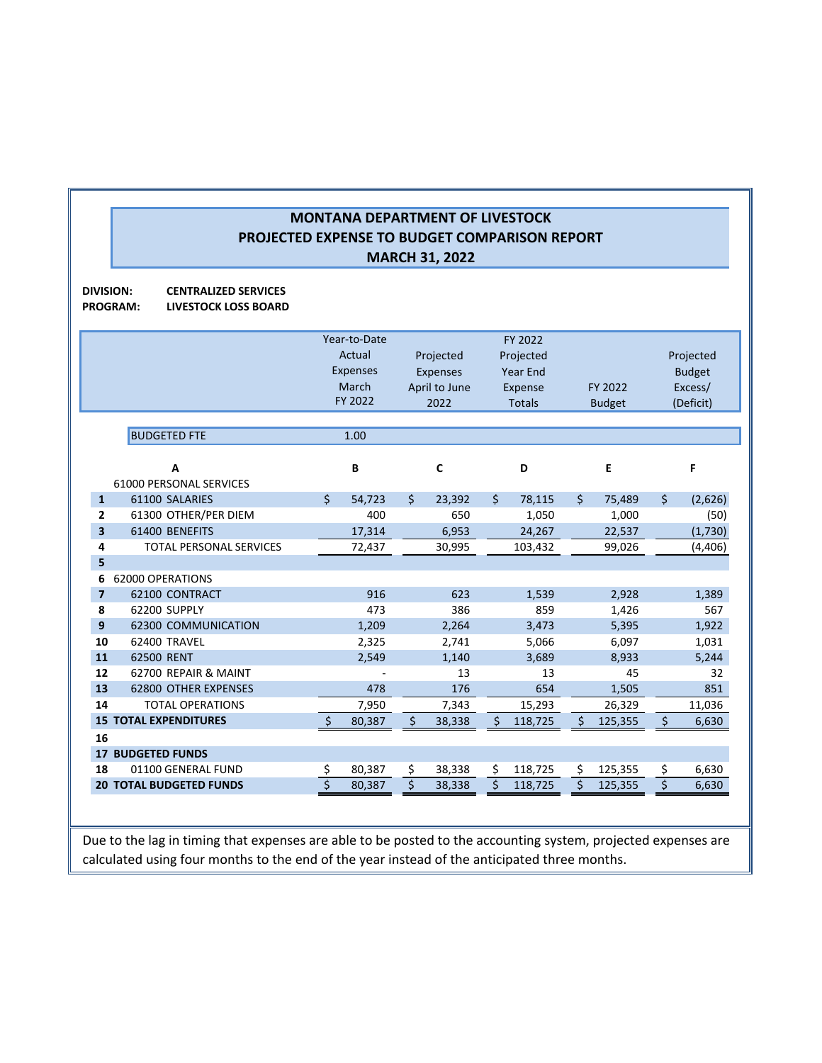**DIVISION: CENTRALIZED SERVICES PROGRAM: LIVESTOCK LOSS BOARD**

|                |                                                      |          | Year-to-Date<br>Actual<br><b>Expenses</b><br>March<br>FY 2022 |          | Projected<br><b>Expenses</b><br>April to June<br>2022 |          | FY 2022<br>Projected<br><b>Year End</b><br>Expense<br><b>Totals</b> |          | FY 2022<br><b>Budget</b> |          | Projected<br><b>Budget</b><br>Excess/<br>(Deficit) |
|----------------|------------------------------------------------------|----------|---------------------------------------------------------------|----------|-------------------------------------------------------|----------|---------------------------------------------------------------------|----------|--------------------------|----------|----------------------------------------------------|
|                | <b>BUDGETED FTE</b>                                  |          | 1.00                                                          |          |                                                       |          |                                                                     |          |                          |          |                                                    |
|                | A<br><b>61000 PERSONAL SERVICES</b>                  |          | В                                                             |          | C                                                     |          | D                                                                   |          | E                        |          | F                                                  |
| $\mathbf{1}$   | 61100 SALARIES                                       | \$       | 54,723                                                        | \$       | 23,392                                                | \$       | 78,115                                                              | $\zeta$  | 75,489                   | $\zeta$  | (2,626)                                            |
| 2              | 61300 OTHER/PER DIEM                                 |          | 400                                                           |          | 650                                                   |          | 1,050                                                               |          | 1,000                    |          | (50)                                               |
| 3              | 61400 BENEFITS                                       |          | 17,314                                                        |          | 6,953                                                 |          | 24,267                                                              |          | 22,537                   |          | (1,730)                                            |
| 4              | <b>TOTAL PERSONAL SERVICES</b>                       |          | 72,437                                                        |          | 30,995                                                |          | 103,432                                                             |          | 99,026                   |          | (4, 406)                                           |
| 5              |                                                      |          |                                                               |          |                                                       |          |                                                                     |          |                          |          |                                                    |
| 6              | 62000 OPERATIONS                                     |          |                                                               |          |                                                       |          |                                                                     |          |                          |          |                                                    |
| $\overline{7}$ | 62100 CONTRACT                                       |          | 916                                                           |          | 623                                                   |          | 1,539                                                               |          | 2,928                    |          | 1,389                                              |
| 8              | 62200 SUPPLY                                         |          | 473                                                           |          | 386                                                   |          | 859                                                                 |          | 1,426                    |          | 567                                                |
| 9              | 62300 COMMUNICATION                                  |          | 1,209                                                         |          | 2,264                                                 |          | 3,473                                                               |          | 5,395                    |          | 1,922                                              |
| 10             | 62400 TRAVEL                                         |          | 2,325                                                         |          | 2,741                                                 |          | 5,066                                                               |          | 6,097                    |          | 1,031                                              |
| 11             | 62500 RENT                                           |          | 2,549                                                         |          | 1,140                                                 |          | 3,689                                                               |          | 8,933                    |          | 5,244                                              |
| 12             | 62700 REPAIR & MAINT                                 |          |                                                               |          | 13                                                    |          | 13                                                                  |          | 45                       |          | 32                                                 |
| 13             | <b>62800 OTHER EXPENSES</b>                          |          | 478                                                           |          | 176                                                   |          | 654                                                                 |          | 1,505                    |          | 851                                                |
| 14             | <b>TOTAL OPERATIONS</b>                              |          | 7,950                                                         |          | 7,343                                                 |          | 15,293                                                              |          | 26,329                   |          | 11,036                                             |
|                | <b>15 TOTAL EXPENDITURES</b>                         | Ś.       | 80,387                                                        | Ś.       | 38,338                                                | Ś.       | 118,725                                                             | Ś        | 125,355                  | \$       | 6,630                                              |
| 16             |                                                      |          |                                                               |          |                                                       |          |                                                                     |          |                          |          |                                                    |
| 17<br>18       | <b>BUDGETED FUNDS</b>                                |          |                                                               |          |                                                       |          |                                                                     |          |                          |          |                                                    |
|                | 01100 GENERAL FUND<br><b>20 TOTAL BUDGETED FUNDS</b> | \$<br>\$ | 80,387                                                        | \$<br>\$ | 38,338<br>38,338                                      | \$<br>\$ | 118,725<br>118,725                                                  | \$<br>\$ | 125,355<br>125,355       | \$<br>\$ | 6,630<br>6,630                                     |
|                |                                                      |          | 80,387                                                        |          |                                                       |          |                                                                     |          |                          |          |                                                    |

Due to the lag in timing that expenses are able to be posted to the accounting system, projected expenses are calculated using four months to the end of the year instead of the anticipated three months.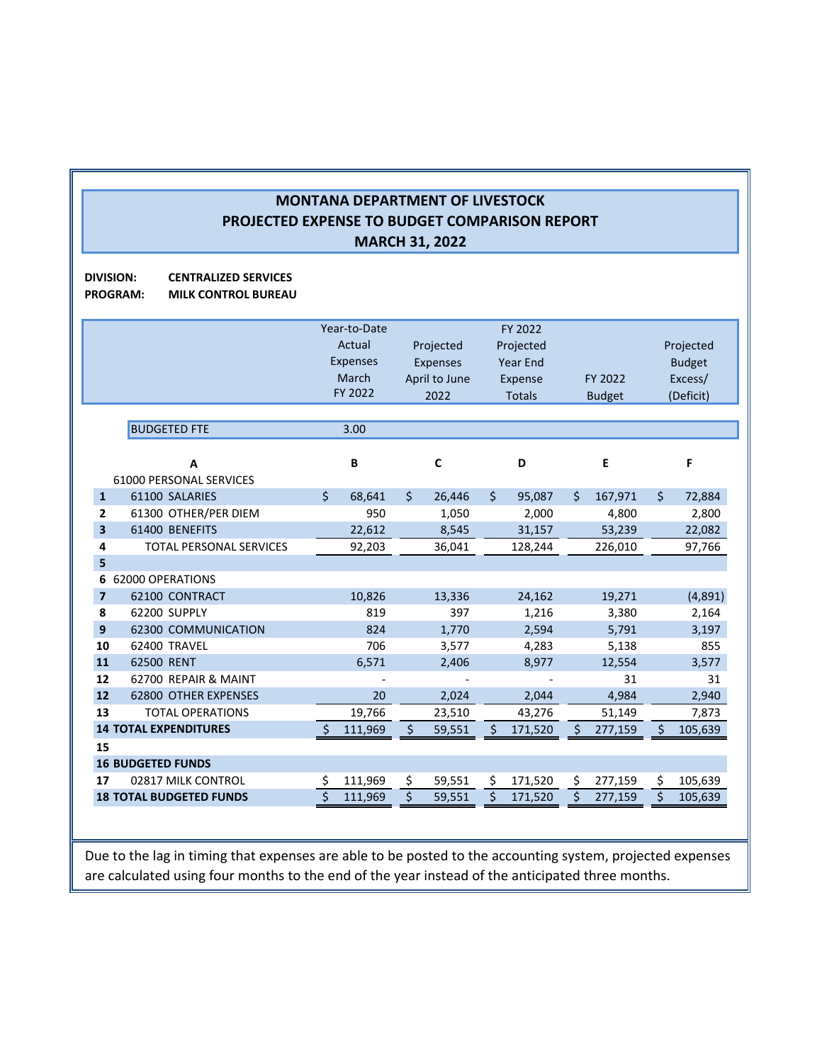**DIVISION: CENTRALIZED SERVICES PROGRAM: MILK CONTROL BUREAU**

|                         |                                | Year-to-Date    |    |               |    | FY 2022         |    |               |    |               |
|-------------------------|--------------------------------|-----------------|----|---------------|----|-----------------|----|---------------|----|---------------|
|                         |                                | Actual          |    | Projected     |    | Projected       |    |               |    | Projected     |
|                         |                                | <b>Expenses</b> |    | Expenses      |    | <b>Year End</b> |    |               |    | <b>Budget</b> |
|                         |                                | March           |    | April to June |    | <b>Expense</b>  |    | FY 2022       |    | Excess/       |
|                         |                                | FY 2022         |    | 2022          |    | <b>Totals</b>   |    | <b>Budget</b> |    | (Deficit)     |
|                         |                                |                 |    |               |    |                 |    |               |    |               |
|                         | <b>BUDGETED FTE</b>            | 3.00            |    |               |    |                 |    |               |    |               |
|                         | A                              | B               |    | $\mathsf{C}$  |    | D               |    | Е             |    | F             |
|                         | <b>61000 PERSONAL SERVICES</b> |                 |    |               |    |                 |    |               |    |               |
| $\mathbf{1}$            | 61100 SALARIES                 | \$<br>68,641    | \$ | 26,446        | \$ | 95,087          | \$ | 167,971       | \$ | 72,884        |
| $\overline{2}$          | 61300 OTHER/PER DIEM           | 950             |    | 1,050         |    | 2,000           |    | 4,800         |    | 2,800         |
| 3                       | 61400 BENEFITS                 | 22,612          |    | 8,545         |    | 31,157          |    | 53,239        |    | 22,082        |
| 4                       | <b>TOTAL PERSONAL SERVICES</b> | 92,203          |    | 36,041        |    | 128,244         |    | 226,010       |    | 97,766        |
| 5                       |                                |                 |    |               |    |                 |    |               |    |               |
| 6                       | 62000 OPERATIONS               |                 |    |               |    |                 |    |               |    |               |
| $\overline{\mathbf{z}}$ | 62100 CONTRACT                 | 10,826          |    | 13,336        |    | 24,162          |    | 19,271        |    | (4,891)       |
| 8                       | 62200 SUPPLY                   | 819             |    | 397           |    | 1,216           |    | 3,380         |    | 2,164         |
| 9                       | <b>62300 COMMUNICATION</b>     | 824             |    | 1,770         |    | 2,594           |    | 5,791         |    | 3,197         |
| 10                      | 62400 TRAVEL                   | 706             |    | 3,577         |    | 4,283           |    | 5,138         |    | 855           |
| 11                      | 62500 RENT                     | 6,571           |    | 2,406         |    | 8,977           |    | 12,554        |    | 3,577         |
| 12                      | 62700 REPAIR & MAINT           |                 |    |               |    |                 |    | 31            |    | 31            |
| 12                      | 62800 OTHER EXPENSES           | 20              |    | 2,024         |    | 2,044           |    | 4,984         |    | 2,940         |
| 13                      | <b>TOTAL OPERATIONS</b>        | 19,766          |    | 23,510        |    | 43,276          |    | 51,149        |    | 7,873         |
|                         | <b>14 TOTAL EXPENDITURES</b>   | 111,969         | Ś  | 59,551        | S  | 171,520         | Ś  | 277,159       | Ś  | 105,639       |
| 15                      |                                |                 |    |               |    |                 |    |               |    |               |
|                         | <b>16 BUDGETED FUNDS</b>       |                 |    |               |    |                 |    |               |    |               |
| 17                      | 02817 MILK CONTROL             | \$<br>111,969   | \$ | 59,551        | \$ | 171,520         | \$ | 277,159       | \$ | 105,639       |
|                         | <b>18 TOTAL BUDGETED FUNDS</b> | 111,969         | \$ | 59,551        | \$ | 171,520         | \$ | 277,159       | \$ | 105,639       |
|                         |                                |                 |    |               |    |                 |    |               |    |               |

Due to the lag in timing that expenses are able to be posted to the accounting system, projected expenses are calculated using four months to the end of the year instead of the anticipated three months.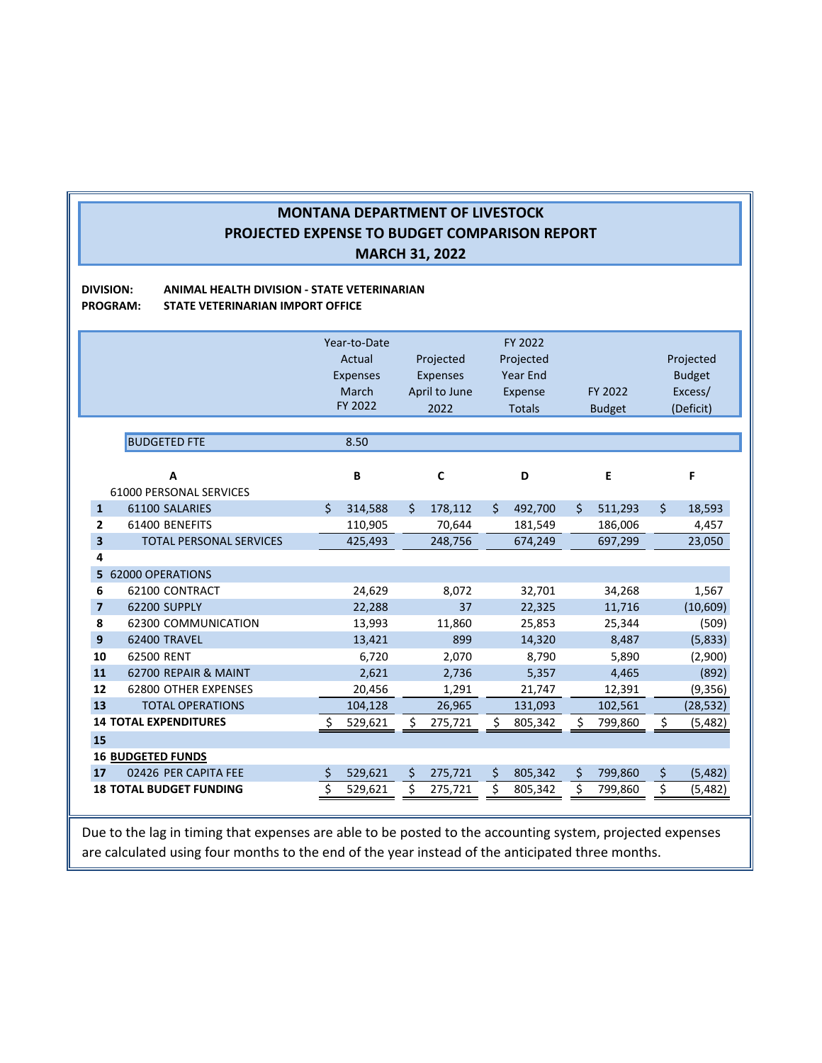#### **DIVISION: ANIMAL HEALTH DIVISION ‐ STATE VETERINARIAN PROGRAM: STATE VETERINARIAN IMPORT OFFICE**

|                                | Year-to-Date    |                 | FY 2022         |               |                |
|--------------------------------|-----------------|-----------------|-----------------|---------------|----------------|
|                                | Actual          | Projected       | Projected       |               | Projected      |
|                                | <b>Expenses</b> | <b>Expenses</b> | <b>Year End</b> |               | <b>Budget</b>  |
|                                | March           | April to June   | Expense         | FY 2022       | Excess/        |
|                                | FY 2022         | 2022            | <b>Totals</b>   | <b>Budget</b> | (Deficit)      |
|                                |                 |                 |                 |               |                |
| <b>BUDGETED FTE</b>            | 8.50            |                 |                 |               |                |
|                                |                 |                 |                 |               |                |
| A                              | B               | $\mathbf c$     | D               | E             | F              |
| <b>61000 PERSONAL SERVICES</b> |                 |                 |                 |               |                |
| 61100 SALARIES                 | Ś.<br>314,588   | Ś.<br>178,112   | 492,700<br>Ŝ.   | Ś.<br>511,293 | Ś.<br>18,593   |
| 61400 BENEFITS                 | 110,905         | 70,644          | 181,549         | 186,006       | 4,457          |
| <b>TOTAL PERSONAL SERVICES</b> | 425,493         | 248,756         | 674,249         | 697,299       | 23,050         |
|                                |                 |                 |                 |               |                |
| 62000 OPERATIONS               |                 |                 |                 |               |                |
| 62100 CONTRACT                 | 24,629          | 8,072           | 32,701          | 34,268        | 1,567          |
| 62200 SUPPLY                   | 22,288          | 37              | 22,325          | 11,716        | (10,609)       |
| 62300 COMMUNICATION            | 13,993          | 11,860          | 25,853          | 25,344        | (509)          |
| 62400 TRAVEL                   | 13,421          | 899             | 14,320          | 8,487         | (5, 833)       |
| 62500 RENT                     | 6,720           | 2,070           | 8,790           | 5,890         | (2,900)        |
| 62700 REPAIR & MAINT           | 2,621           | 2,736           | 5,357           | 4,465         | (892)          |
| <b>62800 OTHER EXPENSES</b>    | 20,456          | 1,291           | 21,747          | 12,391        | (9,356)        |
| <b>TOTAL OPERATIONS</b>        | 104,128         | 26,965          | 131,093         | 102,561       | (28, 532)      |
| <b>14 TOTAL EXPENDITURES</b>   | 529,621         | Ś<br>275,721    | \$<br>805,342   | \$<br>799,860 | \$<br>(5,482)  |
|                                |                 |                 |                 |               |                |
| <b>16 BUDGETED FUNDS</b>       |                 |                 |                 |               |                |
| 02426 PER CAPITA FEE           | \$<br>529,621   | \$<br>275,721   | \$<br>805,342   | \$<br>799,860 | \$<br>(5, 482) |
| <b>18 TOTAL BUDGET FUNDING</b> | \$<br>529,621   | Ś.<br>275,721   | \$<br>805,342   | \$<br>799,860 | \$<br>(5, 482) |
|                                |                 |                 |                 |               |                |

Due to the lag in timing that expenses are able to be posted to the accounting system, projected expenses are calculated using four months to the end of the year instead of the anticipated three months.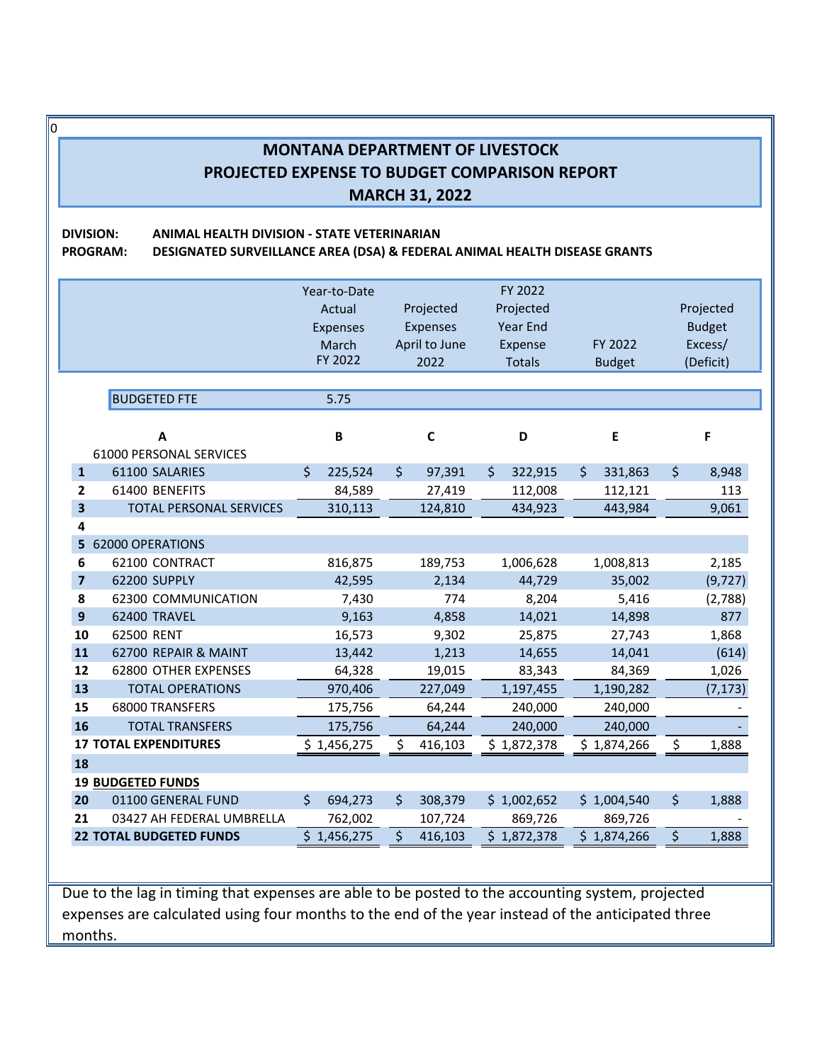0

**DIVISION: ANIMAL HEALTH DIVISION ‐ STATE VETERINARIAN**

**PROGRAM: DESIGNATED SURVEILLANCE AREA (DSA) & FEDERAL ANIMAL HEALTH DISEASE GRANTS**

|                         |                                | Year-to-Date<br>Actual<br>Expenses<br>March<br>FY 2022 | Projected<br>Expenses<br>April to June | FY 2022<br>Projected<br><b>Year End</b><br>FY 2022<br>Expense<br>2022<br><b>Totals</b><br><b>Budget</b> |               |             |  |
|-------------------------|--------------------------------|--------------------------------------------------------|----------------------------------------|---------------------------------------------------------------------------------------------------------|---------------|-------------|--|
|                         |                                |                                                        |                                        |                                                                                                         |               | (Deficit)   |  |
|                         | <b>BUDGETED FTE</b>            | 5.75                                                   |                                        |                                                                                                         |               |             |  |
|                         |                                |                                                        |                                        |                                                                                                         |               |             |  |
|                         | A                              | B                                                      | $\mathbf c$                            | D                                                                                                       | E             | F           |  |
|                         | 61000 PERSONAL SERVICES        |                                                        |                                        |                                                                                                         |               |             |  |
| $\mathbf{1}$            | 61100 SALARIES                 | \$<br>225,524                                          | \$<br>97,391                           | \$<br>322,915                                                                                           | \$<br>331,863 | \$<br>8,948 |  |
| $\overline{2}$          | 61400 BENEFITS                 | 84,589                                                 | 27,419                                 | 112,008                                                                                                 | 112,121       | 113         |  |
| $\overline{\mathbf{3}}$ | <b>TOTAL PERSONAL SERVICES</b> | 310,113                                                | 124,810                                | 434,923                                                                                                 | 443,984       | 9,061       |  |
| 4                       |                                |                                                        |                                        |                                                                                                         |               |             |  |
| 5                       | <b>62000 OPERATIONS</b>        |                                                        |                                        |                                                                                                         |               |             |  |
| 6                       | 62100 CONTRACT                 | 816,875                                                | 189,753                                | 1,006,628                                                                                               | 1,008,813     | 2,185       |  |
| $\overline{\mathbf{z}}$ | 62200 SUPPLY                   | 42,595                                                 | 2,134                                  | 44,729                                                                                                  | 35,002        | (9, 727)    |  |
| 8                       | 62300 COMMUNICATION            | 7,430                                                  | 774                                    | 8,204                                                                                                   | 5,416         | (2,788)     |  |
| $\mathbf{9}$            | 62400 TRAVEL                   | 9,163                                                  | 4,858                                  | 14,021                                                                                                  | 14,898        | 877         |  |
| 10                      | 62500 RENT                     | 16,573                                                 | 9,302                                  | 25,875                                                                                                  | 27,743        | 1,868       |  |
| 11                      | 62700 REPAIR & MAINT           | 13,442                                                 | 1,213                                  | 14,655                                                                                                  | 14,041        | (614)       |  |
| 12                      | 62800 OTHER EXPENSES           | 64,328                                                 | 19,015                                 | 83,343                                                                                                  | 84,369        | 1,026       |  |
| 13                      | <b>TOTAL OPERATIONS</b>        | 970,406                                                | 227,049                                | 1,197,455                                                                                               | 1,190,282     | (7, 173)    |  |
| 15                      | 68000 TRANSFERS                | 175,756                                                | 64,244                                 | 240,000                                                                                                 | 240,000       |             |  |
| 16                      | <b>TOTAL TRANSFERS</b>         | 175,756                                                | 64,244                                 | 240,000                                                                                                 | 240,000       |             |  |
|                         | <b>17 TOTAL EXPENDITURES</b>   | \$1,456,275                                            | \$<br>416,103                          | \$1,872,378                                                                                             | \$1,874,266   | \$<br>1,888 |  |
| 18                      |                                |                                                        |                                        |                                                                                                         |               |             |  |
|                         | <b>19 BUDGETED FUNDS</b>       |                                                        |                                        |                                                                                                         |               |             |  |
| 20                      | 01100 GENERAL FUND             | \$<br>694,273                                          | \$<br>308,379                          | \$1,002,652                                                                                             | \$1,004,540   | \$<br>1,888 |  |
| 21                      | 03427 AH FEDERAL UMBRELLA      | 762,002                                                | 107,724                                | 869,726                                                                                                 | 869,726       |             |  |
|                         | <b>22 TOTAL BUDGETED FUNDS</b> | \$1,456,275                                            | \$<br>416,103                          | \$1,872,378                                                                                             | \$1,874,266   | \$<br>1,888 |  |

Due to the lag in timing that expenses are able to be posted to the accounting system, projected expenses are calculated using four months to the end of the year instead of the anticipated three months.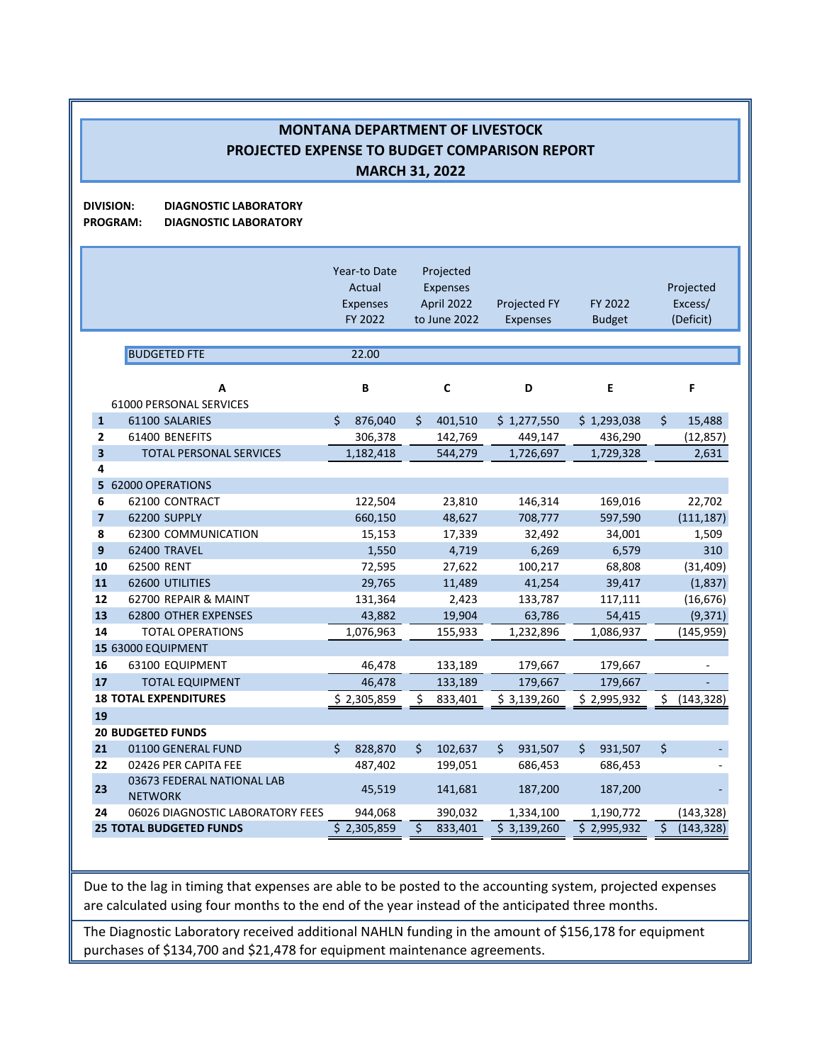**DIVISION: DIAGNOSTIC LABORATORY**

**PROGRAM: DIAGNOSTIC LABORATORY**

|                | <b>BUDGETED FTE</b><br>А                     | Year-to Date<br>Actual<br><b>Expenses</b><br>FY 2022<br>22.00<br>B | Projected<br>Expenses<br>April 2022<br>to June 2022<br>$\mathbf c$ | <b>Projected FY</b><br>Expenses<br>D | FY 2022<br><b>Budget</b><br>E | Projected<br>Excess/<br>(Deficit)<br>F |
|----------------|----------------------------------------------|--------------------------------------------------------------------|--------------------------------------------------------------------|--------------------------------------|-------------------------------|----------------------------------------|
|                | <b>61000 PERSONAL SERVICES</b>               |                                                                    |                                                                    |                                      |                               |                                        |
| $\mathbf{1}$   | 61100 SALARIES                               | Ś.<br>876,040                                                      | \$<br>401,510                                                      | \$1,277,550                          | \$1,293,038                   | \$<br>15,488                           |
| 2              | 61400 BENEFITS                               | 306,378                                                            | 142,769                                                            | 449,147                              | 436,290                       | (12, 857)                              |
| 3              | <b>TOTAL PERSONAL SERVICES</b>               | 1,182,418                                                          | 544,279                                                            | 1,726,697                            | 1,729,328                     | 2,631                                  |
| 4              |                                              |                                                                    |                                                                    |                                      |                               |                                        |
|                | 5 62000 OPERATIONS                           |                                                                    |                                                                    |                                      |                               |                                        |
| 6              | 62100 CONTRACT                               | 122,504                                                            | 23,810                                                             | 146,314                              | 169,016                       | 22,702                                 |
| $\overline{7}$ | 62200 SUPPLY                                 | 660,150                                                            | 48,627                                                             | 708,777                              | 597,590                       | (111, 187)                             |
| 8              | 62300 COMMUNICATION                          | 15,153                                                             | 17,339                                                             | 32,492                               | 34,001                        | 1,509                                  |
| 9              | 62400 TRAVEL                                 | 1,550                                                              | 4,719                                                              | 6,269                                | 6,579                         | 310                                    |
| 10             | 62500 RENT                                   | 72,595                                                             | 27,622                                                             | 100,217                              | 68,808                        | (31, 409)                              |
| 11             | 62600 UTILITIES                              | 29,765                                                             | 11,489                                                             | 41,254                               | 39,417                        | (1,837)                                |
| 12             | 62700 REPAIR & MAINT                         | 131,364                                                            | 2,423                                                              | 133,787                              | 117,111                       | (16, 676)                              |
| 13             | <b>62800 OTHER EXPENSES</b>                  | 43,882                                                             | 19,904                                                             | 63,786                               | 54,415                        | (9, 371)                               |
| 14             | <b>TOTAL OPERATIONS</b>                      | 1,076,963                                                          | 155,933                                                            | 1,232,896                            | 1,086,937                     | (145, 959)                             |
|                | 15 63000 EQUIPMENT                           |                                                                    |                                                                    |                                      |                               |                                        |
| 16             | 63100 EQUIPMENT                              | 46,478                                                             | 133,189                                                            | 179,667                              | 179,667                       |                                        |
| 17             | <b>TOTAL EQUIPMENT</b>                       | 46,478                                                             | 133,189                                                            | 179,667                              | 179,667                       |                                        |
| 19             | <b>18 TOTAL EXPENDITURES</b>                 | \$2,305,859                                                        | \$<br>833,401                                                      | \$3,139,260                          | \$2,995,932                   | \$<br>(143, 328)                       |
|                | <b>20 BUDGETED FUNDS</b>                     |                                                                    |                                                                    |                                      |                               |                                        |
| 21             | 01100 GENERAL FUND                           | Ś.<br>828,870                                                      | \$<br>102,637                                                      | 931,507<br>Ś.                        | \$<br>931,507                 | \$                                     |
| 22             | 02426 PER CAPITA FEE                         | 487,402                                                            | 199,051                                                            | 686,453                              | 686,453                       |                                        |
| 23             | 03673 FEDERAL NATIONAL LAB<br><b>NETWORK</b> | 45,519                                                             | 141,681                                                            | 187,200                              | 187,200                       |                                        |
| 24             | 06026 DIAGNOSTIC LABORATORY FEES             | 944,068                                                            | 390,032                                                            | 1,334,100                            | 1,190,772                     | (143, 328)                             |
|                | <b>25 TOTAL BUDGETED FUNDS</b>               | \$2,305,859                                                        | \$<br>833,401                                                      | \$3,139,260                          | 52,995,932                    | $\overline{\xi}$<br>(143, 328)         |

Due to the lag in timing that expenses are able to be posted to the accounting system, projected expenses are calculated using four months to the end of the year instead of the anticipated three months.

The Diagnostic Laboratory received additional NAHLN funding in the amount of \$156,178 for equipment purchases of \$134,700 and \$21,478 for equipment maintenance agreements.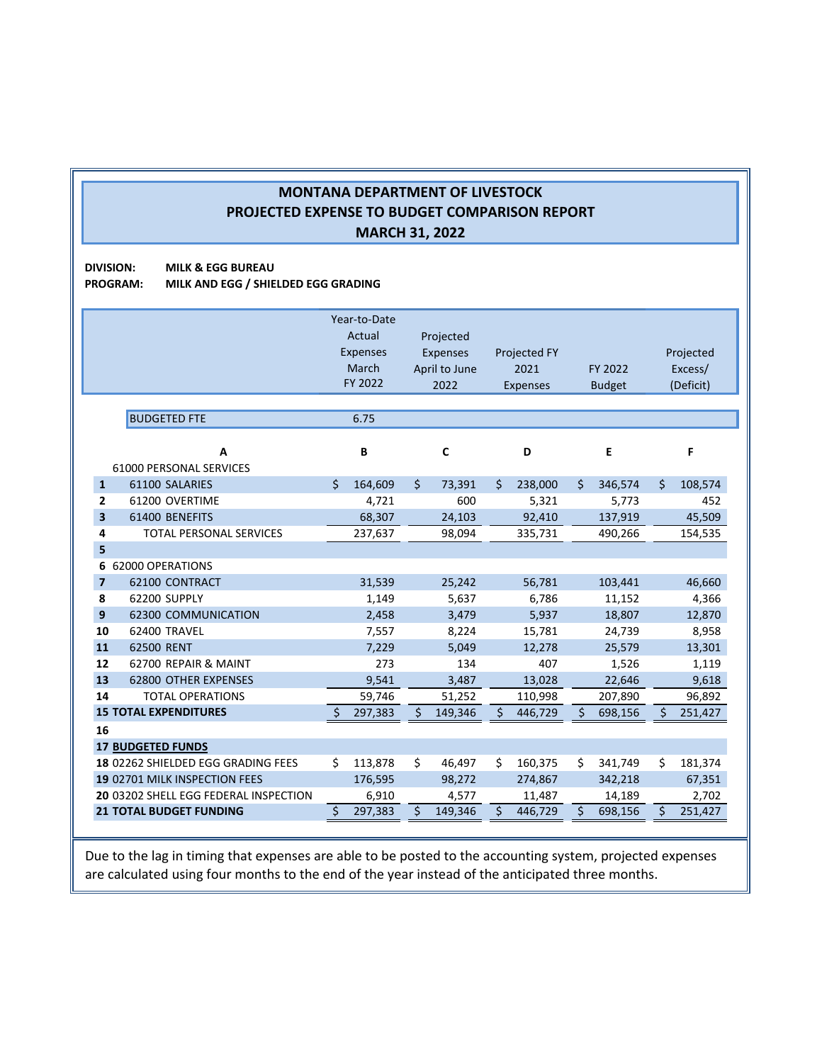**DIVISION: MILK & EGG BUREAU PROGRAM: MILK AND EGG / SHIELDED EGG GRADING**

|                |                                                                         | Year-to-Date<br>Actual<br>Projected<br><b>Expenses</b><br><b>Expenses</b><br><b>Projected FY</b><br>March<br>2021<br>April to June<br>FY 2022<br>2022<br><b>Expenses</b> |         |    | Projected<br>FY 2022<br>Excess/<br><b>Budget</b><br>(Deficit) |    |         |    |         |    |         |
|----------------|-------------------------------------------------------------------------|--------------------------------------------------------------------------------------------------------------------------------------------------------------------------|---------|----|---------------------------------------------------------------|----|---------|----|---------|----|---------|
|                | <b>BUDGETED FTE</b>                                                     |                                                                                                                                                                          | 6.75    |    |                                                               |    |         |    |         |    |         |
|                | A<br>61000 PERSONAL SERVICES                                            |                                                                                                                                                                          | B       |    | C                                                             |    | D       |    | E       |    | F       |
| $\mathbf{1}$   | 61100 SALARIES                                                          | Ś.                                                                                                                                                                       | 164,609 | \$ | 73,391                                                        | Ś. | 238,000 | \$ | 346,574 | \$ | 108,574 |
| 2              | 61200 OVERTIME                                                          |                                                                                                                                                                          | 4,721   |    | 600                                                           |    | 5,321   |    | 5,773   |    | 452     |
| 3              | 61400 BENEFITS                                                          |                                                                                                                                                                          | 68,307  |    | 24,103                                                        |    | 92,410  |    | 137,919 |    | 45,509  |
| 4              | <b>TOTAL PERSONAL SERVICES</b>                                          |                                                                                                                                                                          | 237,637 |    | 98,094                                                        |    | 335,731 |    | 490,266 |    | 154,535 |
| 5              |                                                                         |                                                                                                                                                                          |         |    |                                                               |    |         |    |         |    |         |
|                | 6 62000 OPERATIONS                                                      |                                                                                                                                                                          |         |    |                                                               |    |         |    |         |    |         |
| $\overline{7}$ | 62100 CONTRACT                                                          |                                                                                                                                                                          | 31,539  |    | 25,242                                                        |    | 56,781  |    | 103,441 |    | 46,660  |
| 8              | 62200 SUPPLY                                                            |                                                                                                                                                                          | 1,149   |    | 5,637                                                         |    | 6,786   |    | 11,152  |    | 4,366   |
| 9              | 62300 COMMUNICATION                                                     |                                                                                                                                                                          | 2,458   |    | 3,479                                                         |    | 5,937   |    | 18,807  |    | 12,870  |
| 10             | 62400 TRAVEL                                                            |                                                                                                                                                                          | 7,557   |    | 8,224                                                         |    | 15,781  |    | 24,739  |    | 8,958   |
| 11             | 62500 RENT                                                              |                                                                                                                                                                          | 7,229   |    | 5.049                                                         |    | 12.278  |    | 25,579  |    | 13,301  |
| 12             | 62700 REPAIR & MAINT                                                    |                                                                                                                                                                          | 273     |    | 134                                                           |    | 407     |    | 1,526   |    | 1,119   |
| 13             | <b>62800 OTHER EXPENSES</b>                                             |                                                                                                                                                                          | 9,541   |    | 3,487                                                         |    | 13,028  |    | 22,646  |    | 9,618   |
| 14             | <b>TOTAL OPERATIONS</b>                                                 |                                                                                                                                                                          | 59,746  |    | 51,252                                                        |    | 110,998 |    | 207,890 |    | 96,892  |
|                | <b>15 TOTAL EXPENDITURES</b>                                            | Ś                                                                                                                                                                        | 297,383 | Ś. | 149,346                                                       | Ś  | 446,729 | Ś. | 698,156 | Ś. | 251,427 |
| 16             |                                                                         |                                                                                                                                                                          |         |    |                                                               |    |         |    |         |    |         |
|                | <b>17 BUDGETED FUNDS</b>                                                |                                                                                                                                                                          |         |    |                                                               |    |         |    |         |    |         |
|                | 18 02262 SHIELDED EGG GRADING FEES                                      | Ś.                                                                                                                                                                       | 113,878 | \$ | 46,497                                                        | \$ | 160,375 | \$ | 341,749 | \$ | 181,374 |
|                | 19 02701 MILK INSPECTION FEES                                           |                                                                                                                                                                          | 176,595 |    | 98,272                                                        |    | 274,867 |    | 342,218 |    | 67,351  |
|                | 20 03202 SHELL EGG FEDERAL INSPECTION<br><b>21 TOTAL BUDGET FUNDING</b> |                                                                                                                                                                          | 6,910   | \$ | 4,577                                                         | \$ | 11,487  | \$ | 14,189  | \$ | 2,702   |
|                |                                                                         | \$                                                                                                                                                                       | 297,383 |    | 149,346                                                       |    | 446,729 |    | 698,156 |    | 251,427 |

Due to the lag in timing that expenses are able to be posted to the accounting system, projected expenses are calculated using four months to the end of the year instead of the anticipated three months.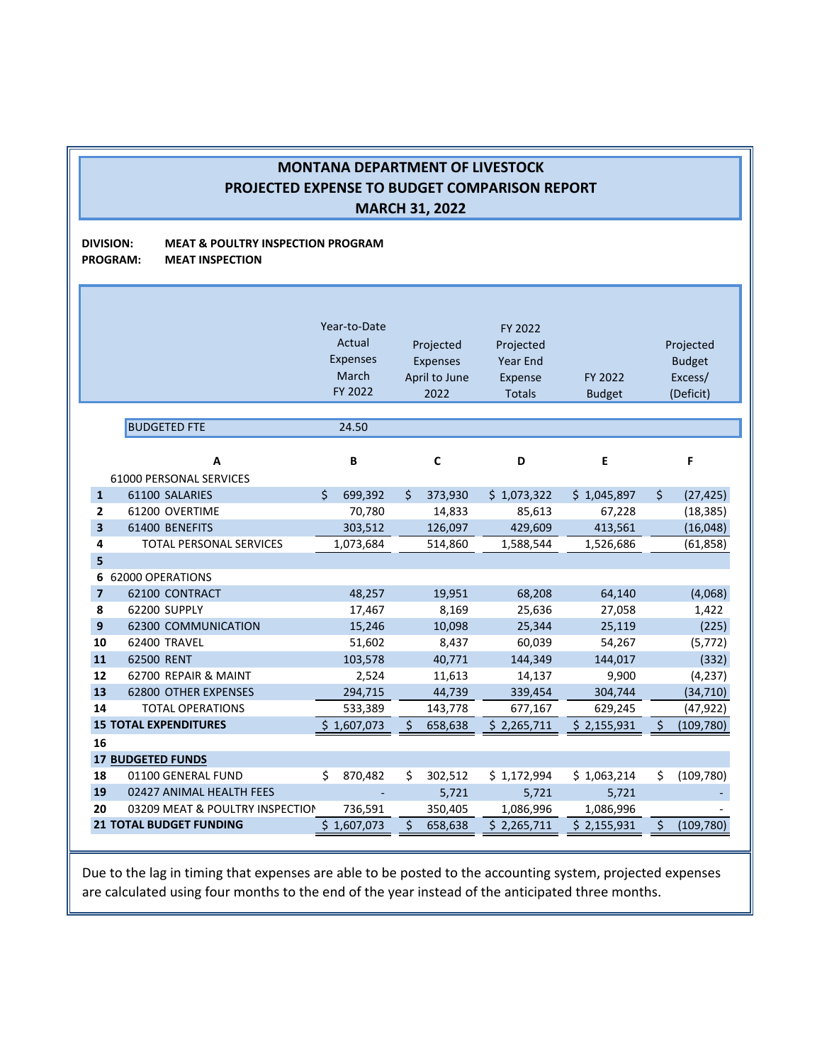### **DIVISION: MEAT & POULTRY INSPECTION PROGRAM PROGRAM: MEAT INSPECTION**

|                |                                 | Year-to-Date    |                 | FY 2022       |               |         |               |
|----------------|---------------------------------|-----------------|-----------------|---------------|---------------|---------|---------------|
|                |                                 | Actual          | Projected       | Projected     |               |         | Projected     |
|                |                                 | <b>Expenses</b> | <b>Expenses</b> | Year End      |               |         | <b>Budget</b> |
|                |                                 | March           | April to June   | Expense       | FY 2022       |         | Excess/       |
|                |                                 | FY 2022         | 2022            | <b>Totals</b> | <b>Budget</b> |         | (Deficit)     |
|                |                                 |                 |                 |               |               |         |               |
|                | <b>BUDGETED FTE</b>             | 24.50           |                 |               |               |         |               |
|                |                                 |                 |                 |               |               |         |               |
|                | A                               | B               | $\mathsf{C}$    | D             | E             |         | F             |
|                | 61000 PERSONAL SERVICES         |                 |                 |               |               |         |               |
| $\mathbf{1}$   | 61100 SALARIES                  | Ś.<br>699,392   | 373,930<br>\$   | \$1,073,322   | \$1,045,897   | $\zeta$ | (27, 425)     |
| 2              | 61200 OVERTIME                  | 70,780          | 14,833          | 85,613        | 67,228        |         | (18, 385)     |
| 3              | 61400 BENEFITS                  | 303,512         | 126,097         | 429,609       | 413,561       |         | (16,048)      |
| 4              | <b>TOTAL PERSONAL SERVICES</b>  | 1,073,684       | 514,860         | 1,588,544     | 1,526,686     |         | (61, 858)     |
| 5              |                                 |                 |                 |               |               |         |               |
| 6              | 62000 OPERATIONS                |                 |                 |               |               |         |               |
| $\overline{7}$ | 62100 CONTRACT                  | 48,257          | 19,951          | 68,208        | 64,140        |         | (4,068)       |
| 8              | 62200 SUPPLY                    | 17,467          | 8,169           | 25,636        | 27,058        |         | 1,422         |
| 9              | <b>62300 COMMUNICATION</b>      | 15,246          | 10,098          | 25,344        | 25,119        |         | (225)         |
| 10             | 62400 TRAVEL                    | 51,602          | 8,437           | 60,039        | 54,267        |         | (5, 772)      |
| 11             | 62500 RENT                      | 103,578         | 40,771          | 144,349       | 144,017       |         | (332)         |
| 12             | 62700 REPAIR & MAINT            | 2,524           | 11,613          | 14,137        | 9,900         |         | (4, 237)      |
| 13             | <b>62800 OTHER EXPENSES</b>     | 294,715         | 44,739          | 339,454       | 304,744       |         | (34, 710)     |
| 14             | <b>TOTAL OPERATIONS</b>         | 533,389         | 143,778         | 677,167       | 629,245       |         | (47, 922)     |
|                | <b>15 TOTAL EXPENDITURES</b>    | \$1,607,073     | \$<br>658,638   | \$2,265,711   | \$2,155,931   | \$      | (109, 780)    |
| 16             |                                 |                 |                 |               |               |         |               |
|                | <b>17 BUDGETED FUNDS</b>        |                 |                 |               |               |         |               |
| 18             | 01100 GENERAL FUND              | Ś.<br>870,482   | \$<br>302,512   | \$1,172,994   | \$1,063,214   | \$      | (109, 780)    |
| 19             | 02427 ANIMAL HEALTH FEES        |                 | 5,721           | 5,721         | 5,721         |         |               |
| 20             | 03209 MEAT & POULTRY INSPECTION | 736,591         | 350,405         | 1,086,996     | 1,086,996     |         |               |
|                | <b>21 TOTAL BUDGET FUNDING</b>  | \$1,607,073     | \$<br>658,638   | \$2,265,711   | \$2,155,931   | \$      | (109, 780)    |
|                |                                 |                 |                 |               |               |         |               |

Due to the lag in timing that expenses are able to be posted to the accounting system, projected expenses are calculated using four months to the end of the year instead of the anticipated three months.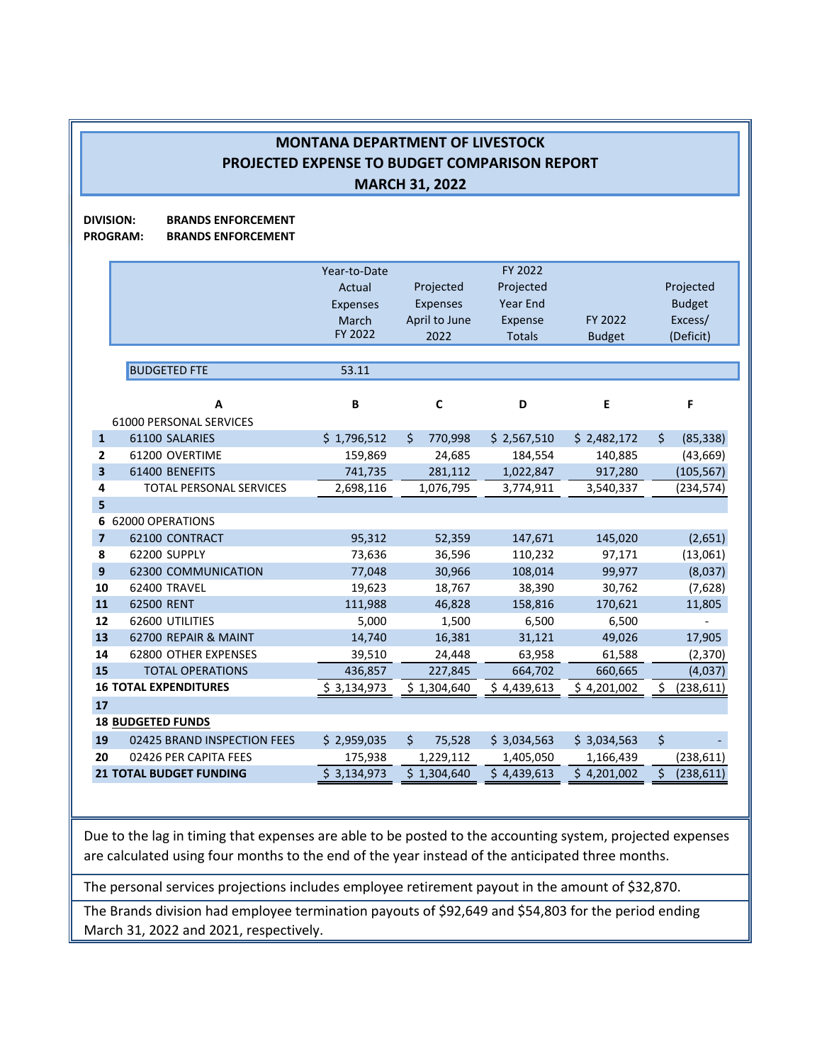**DIVISION: BRANDS ENFORCEMENT**

**PROGRAM: BRANDS ENFORCEMENT**

|                |                                | Year-to-Date    |               | FY 2022         |               |                  |
|----------------|--------------------------------|-----------------|---------------|-----------------|---------------|------------------|
|                |                                | Actual          | Projected     | Projected       |               | Projected        |
|                |                                | <b>Expenses</b> | Expenses      | <b>Year End</b> |               | <b>Budget</b>    |
|                |                                | March           | April to June | Expense         | FY 2022       | Excess/          |
|                |                                | FY 2022         | 2022          | <b>Totals</b>   | <b>Budget</b> | (Deficit)        |
|                |                                |                 |               |                 |               |                  |
|                | <b>BUDGETED FTE</b>            | 53.11           |               |                 |               |                  |
|                |                                |                 |               |                 |               |                  |
|                | A                              | B               | C             | D               | E             | F                |
|                | 61000 PERSONAL SERVICES        |                 |               |                 |               |                  |
| $\mathbf{1}$   | 61100 SALARIES                 | \$1,796,512     | \$<br>770,998 | \$2,567,510     | \$2,482,172   | \$<br>(85, 338)  |
| $\overline{2}$ | 61200 OVERTIME                 | 159,869         | 24,685        | 184,554         | 140,885       | (43, 669)        |
| 3              | 61400 BENEFITS                 | 741,735         | 281,112       | 1,022,847       | 917,280       | (105, 567)       |
| 4              | TOTAL PERSONAL SERVICES        | 2,698,116       | 1,076,795     | 3,774,911       | 3,540,337     | (234, 574)       |
| 5              |                                |                 |               |                 |               |                  |
|                | 6 62000 OPERATIONS             |                 |               |                 |               |                  |
| $\overline{7}$ | 62100 CONTRACT                 | 95,312          | 52,359        | 147,671         | 145,020       | (2,651)          |
| 8              | 62200 SUPPLY                   | 73,636          | 36,596        | 110,232         | 97,171        | (13,061)         |
| 9              | <b>62300 COMMUNICATION</b>     | 77,048          | 30,966        | 108,014         | 99,977        | (8,037)          |
| 10             | 62400 TRAVEL                   | 19,623          | 18,767        | 38,390          | 30,762        | (7,628)          |
| 11             | 62500 RENT                     | 111,988         | 46,828        | 158,816         | 170,621       | 11,805           |
| 12             | 62600 UTILITIES                | 5,000           | 1,500         | 6,500           | 6,500         |                  |
| 13             | 62700 REPAIR & MAINT           | 14,740          | 16,381        | 31,121          | 49,026        | 17,905           |
| 14             | 62800 OTHER EXPENSES           | 39,510          | 24,448        | 63,958          | 61,588        | (2, 370)         |
| 15             | <b>TOTAL OPERATIONS</b>        | 436,857         | 227,845       | 664,702         | 660,665       | (4,037)          |
|                | <b>16 TOTAL EXPENDITURES</b>   | \$3,134,973     | \$1,304,640   | \$4,439,613     | \$4,201,002   | (238, 611)<br>\$ |
| 17             |                                |                 |               |                 |               |                  |
|                | <b>18 BUDGETED FUNDS</b>       |                 |               |                 |               |                  |
| 19             | 02425 BRAND INSPECTION FEES    | \$2,959,035     | \$<br>75,528  | \$3,034,563     | \$3,034,563   | \$               |
| 20             | 02426 PER CAPITA FEES          | 175,938         | 1,229,112     | 1,405,050       | 1,166,439     | (238, 611)       |
|                | <b>21 TOTAL BUDGET FUNDING</b> | \$3,134,973     | \$1,304,640   | \$4,439,613     | \$4,201,002   | \$<br>(238, 611) |
|                |                                |                 |               |                 |               |                  |

Due to the lag in timing that expenses are able to be posted to the accounting system, projected expenses are calculated using four months to the end of the year instead of the anticipated three months.

The personal services projections includes employee retirement payout in the amount of \$32,870.

The Brands division had employee termination payouts of \$92,649 and \$54,803 for the period ending March 31, 2022 and 2021, respectively.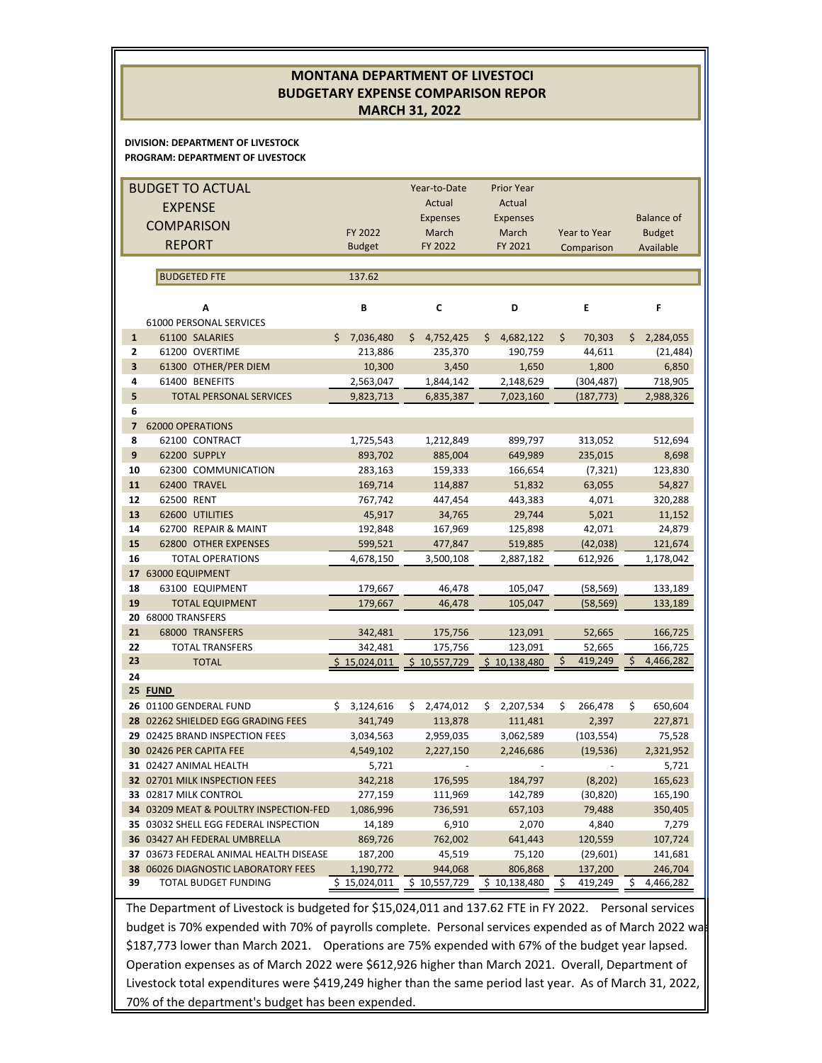#### **DIVISION: DEPARTMENT OF LIVESTOCK PROGRAM: DEPARTMENT OF LIVESTOCK** FY 2022 Year‐to‐Date Actual Expenses March Prior Year Actual Expenses March Year to Year Balance of Budget Budget FY 2022 FY 2021 Comparison Available BUDGETED FTE 137.62 B C D E F 61000 PERSONAL SERVICES **1** 61100 SALARIES \$ 7,036,480 \$ 4,752,425 \$ 4,682,122 \$ 70,303 \$ 2,284,055 **2** 61200 OVERTIME 213,886 235,370 190,759 44,611 (21,484) **3** 61300 OTHER/PER DIEM 10,300 3,450 1,650 1,800 6,850 **4** 61400 BENEFITS 2,563,047 1,844,142 2,148,629 (304,487) 718,905 **5** TOTAL PERSONAL SERVICES 9,823,713 6,835,387 7,023,160 (187,773) 2,988,326 **6 7** 62000 OPERATIONS **8** 62100 CONTRACT 1,725,543 1,212,849 899,797 313,052 512,694 **9** 62200 SUPPLY 893,702 885,004 649,989 235,015 8,698 **10** 62300 COMMUNICATION 283,163 159,333 166,654 (7,321) 123,830 **11** 62400 TRAVEL 169,714 114,887 51,832 63,055 54,827 **12** 62500 RENT 767,742 447,454 443,383 4,071 320,288 **13** 62600 UTILITIES 45,917 34,765 29,744 5,021 11,152 **14** 62700 REPAIR & MAINT 192,848 167,969 125,898 42,071 24,879 **15** 62800 OTHER EXPENSES 599,521 477,847 519,885 (42,038) 121,674 **16** TOTAL OPERATIONS 4,678,150 3,500,108 2,887,182 612,926 1,178,042 **17** 63000 EQUIPMENT **18** 63100 EQUIPMENT 179,667 46,478 105,047 (58,569) 133,189 **19** TOTAL EQUIPMENT 179,667 46,478 105,047 (58,569) 133,189 **20** 68000 TRANSFERS **21** 68000 TRANSFERS 342,481 175,756 123,091 52,665 166,725 **22** TOTAL TRANSFERS 342,481 175,756 123,091 52,665 166,725 **23** TOTAL \$ 15,024,011 \$ 10,557,729 \$ 10,138,480 \$ 419,249 \$ 4,466,282 **24 25 FUND 26** 01100 GENDERAL FUND \$ 3,124,616 \$ 2,474,012 \$ 2,207,534 \$ 266,478 \$ 650,604 **28** 02262 SHIELDED EGG GRADING FEES 341,749 113,878 111,481 2,397 227,871 **29** 02425 BRAND INSPECTION FEES 3,034,563 2,959,035 3,062,589 (103,554) 75,528 **30** 02426 PER CAPITA FEE 4,549,102 2,227,150 2,246,686 (19,536) 2,321,952 **31** 02427 ANIMAL HEALTH 5,721 ‐ ‐ ‐ 5,721 **32** 02701 MILK INSPECTION FEES 342,218 176,595 184,797 (8,202) 165,623 **33** 02817 MILK CONTROL 277,159 111,969 142,789 (30,820) 165,190 **34** 03209 MEAT & POULTRY INSPECTION‐FED 1,086,996 736,591 657,103 79,488 350,405 **35** 03032 SHELL EGG FEDERAL INSPECTION 14,189 6,910 2,070 4,840 7,279 **36** 03427 AH FEDERAL UMBRELLA 869,726 762,002 641,443 120,559 107,724 **37** 03673 FEDERAL ANIMAL HEALTH DISEASE 187,200 45,519 75,120 (29,601) 141,681 **38** 06026 DIAGNOSTIC LABORATORY FEES 1,190,772 944,068 806,868 137,200 246,704<br>**39** TOTAL BUDGET FUNDING 5 15,024,011 5 10,557,729 5 10,138,480 5 419,249 5 4,466,282 **A** BUDGET TO ACTUAL EXPENSE **COMPARISON** REPORT **MONTANA DEPARTMENT OF LIVESTOCK BUDGETARY EXPENSE COMPARISON REPOR MARCH 31, 2022**

The Department of Livestock is budgeted for \$15,024,011 and 137.62 FTE in FY 2022. Personal services budget is 70% expended with 70% of payrolls complete. Personal services expended as of March 2022 wa \$187,773 lower than March 2021. Operations are 75% expended with 67% of the budget year lapsed. Operation expenses as of March 2022 were \$612,926 higher than March 2021. Overall, Department of Livestock total expenditures were \$419,249 higher than the same period last year. As of March 31, 2022, 70% of the department's budget has been expended.

**39** TOTAL BUDGET FUNDING  $\frac{\$ 15,024,011 \$ 10,557,729 \$ 10,138,480 \$ 419,249 \$ 4,466,282$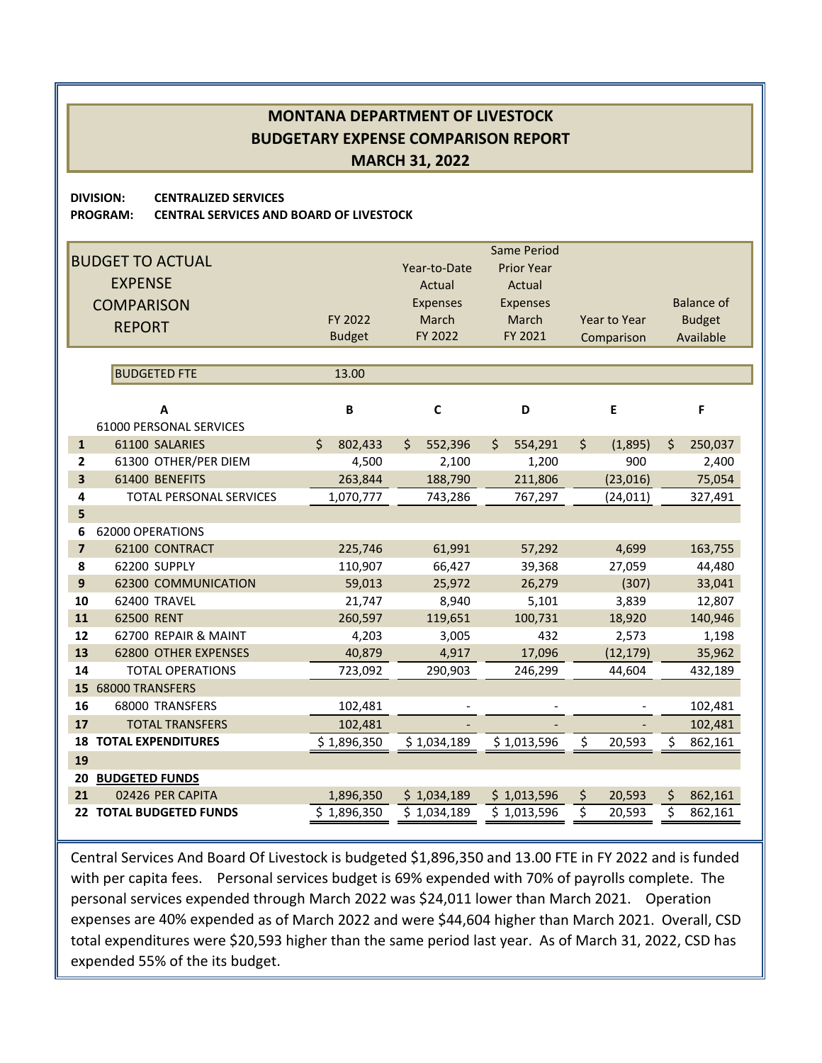**DIVISION: CENTRALIZED SERVICES**

**PROGRAM: CENTRAL SERVICES AND BOARD OF LIVESTOCK**

|                         | <b>BUDGET TO ACTUAL</b><br><b>EXPENSE</b><br><b>COMPARISON</b><br><b>REPORT</b> | FY 2022<br><b>Budget</b> | Year-to-Date<br>Actual<br><b>Expenses</b><br>March<br>FY 2022 | <b>Same Period</b><br><b>Prior Year</b><br>Actual<br>Expenses<br>March<br>FY 2021 | Year to Year<br>Comparison | <b>Balance of</b><br><b>Budget</b><br>Available |
|-------------------------|---------------------------------------------------------------------------------|--------------------------|---------------------------------------------------------------|-----------------------------------------------------------------------------------|----------------------------|-------------------------------------------------|
|                         |                                                                                 |                          |                                                               |                                                                                   |                            |                                                 |
|                         | <b>BUDGETED FTE</b>                                                             | 13.00                    |                                                               |                                                                                   |                            |                                                 |
|                         | A<br>61000 PERSONAL SERVICES                                                    | B                        | $\mathbf c$                                                   | D                                                                                 | E                          | F                                               |
| $\mathbf{1}$            | 61100 SALARIES                                                                  | Ś.<br>802,433            | 552,396<br>\$                                                 | $\mathsf{S}$<br>554,291                                                           | $\zeta$<br>(1,895)         | \$<br>250,037                                   |
| $\overline{2}$          | 61300 OTHER/PER DIEM                                                            | 4,500                    | 2,100                                                         | 1,200                                                                             | 900                        | 2,400                                           |
| $\overline{\mathbf{3}}$ | 61400 BENEFITS                                                                  | 263,844                  | 188,790                                                       | 211,806                                                                           | (23, 016)                  | 75,054                                          |
| 4                       | <b>TOTAL PERSONAL SERVICES</b>                                                  | 1,070,777                | 743,286                                                       | 767,297                                                                           | (24, 011)                  | 327,491                                         |
| 5                       |                                                                                 |                          |                                                               |                                                                                   |                            |                                                 |
| 6                       | 62000 OPERATIONS                                                                |                          |                                                               |                                                                                   |                            |                                                 |
| $\overline{7}$          | 62100 CONTRACT                                                                  | 225,746                  | 61,991                                                        | 57,292                                                                            | 4,699                      | 163,755                                         |
| 8                       | 62200 SUPPLY                                                                    | 110,907                  | 66,427                                                        | 39,368                                                                            | 27,059                     | 44,480                                          |
| 9                       | <b>62300 COMMUNICATION</b>                                                      | 59,013                   | 25,972                                                        | 26,279                                                                            | (307)                      | 33,041                                          |
| 10                      | 62400 TRAVEL                                                                    | 21,747                   | 8,940                                                         | 5,101                                                                             | 3,839                      | 12,807                                          |
| 11                      | 62500 RENT                                                                      | 260,597                  | 119,651                                                       | 100,731                                                                           | 18,920                     | 140,946                                         |
| 12<br>13                | 62700 REPAIR & MAINT                                                            | 4,203                    | 3,005                                                         | 432                                                                               | 2,573                      | 1,198                                           |
| 14                      | <b>62800 OTHER EXPENSES</b><br><b>TOTAL OPERATIONS</b>                          | 40,879<br>723,092        | 4,917<br>290,903                                              | 17,096<br>246,299                                                                 | (12, 179)<br>44,604        | 35,962<br>432,189                               |
| 15                      | <b>68000 TRANSFERS</b>                                                          |                          |                                                               |                                                                                   |                            |                                                 |
| 16                      | 68000 TRANSFERS                                                                 | 102,481                  |                                                               |                                                                                   |                            | 102,481                                         |
| 17                      | <b>TOTAL TRANSFERS</b>                                                          | 102,481                  |                                                               |                                                                                   |                            | 102,481                                         |
| 18                      | <b>TOTAL EXPENDITURES</b>                                                       | \$1,896,350              | \$1,034,189                                                   | \$1,013,596                                                                       | \$<br>20,593               | \$<br>862,161                                   |
| 19                      |                                                                                 |                          |                                                               |                                                                                   |                            |                                                 |
| 20                      | <b>BUDGETED FUNDS</b>                                                           |                          |                                                               |                                                                                   |                            |                                                 |
| 21                      | 02426 PER CAPITA                                                                | 1,896,350                | \$1,034,189                                                   | \$1,013,596                                                                       | \$<br>20,593               | \$<br>862,161                                   |
| 22                      | <b>TOTAL BUDGETED FUNDS</b>                                                     | \$1,896,350              | \$1,034,189                                                   | \$1,013,596                                                                       | \$<br>20,593               | \$<br>862,161                                   |

Central Services And Board Of Livestock is budgeted \$1,896,350 and 13.00 FTE in FY 2022 and is funded with per capita fees. Personal services budget is 69% expended with 70% of payrolls complete. The personal services expended through March 2022 was \$24,011 lower than March 2021. Operation expenses are 40% expended as of March 2022 and were \$44,604 higher than March 2021. Overall, CSD total expenditures were \$20,593 higher than the same period last year. As of March 31, 2022, CSD has expended 55% of the its budget.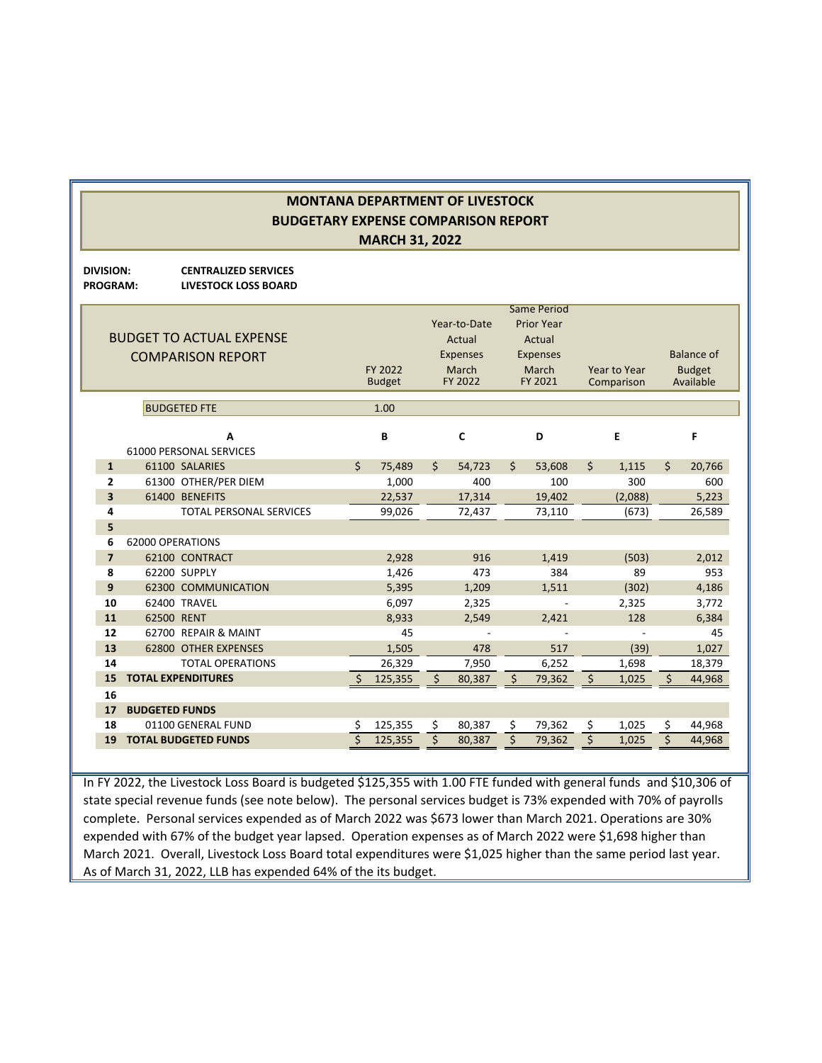**DIVISION: CENTRALIZED SERVICES PROGRAM: LIVESTOCK LOSS BOARD**

|                | <b>BUDGET TO ACTUAL EXPENSE</b><br><b>COMPARISON REPORT</b><br><b>BUDGETED FTE</b> |              | FY 2022<br><b>Budget</b><br>1.00 | Year-to-Date<br>Actual<br><b>Expenses</b><br>March<br>FY 2022 |    | <b>Same Period</b><br><b>Prior Year</b><br>Actual<br><b>Expenses</b><br>March<br>FY 2021 |                    | Year to Year<br>Comparison | <b>Balance of</b><br><b>Budget</b><br>Available |
|----------------|------------------------------------------------------------------------------------|--------------|----------------------------------|---------------------------------------------------------------|----|------------------------------------------------------------------------------------------|--------------------|----------------------------|-------------------------------------------------|
|                | A<br>61000 PERSONAL SERVICES                                                       |              | B                                | C                                                             |    | D                                                                                        |                    | E                          | F                                               |
| $\mathbf{1}$   | 61100 SALARIES                                                                     | \$           | 75.489                           | \$<br>54,723                                                  | Ś. | 53,608                                                                                   | $\mathsf{\hat{S}}$ | 1,115                      | \$<br>20,766                                    |
| $\overline{2}$ | 61300 OTHER/PER DIEM                                                               |              | 1,000                            | 400                                                           |    | 100                                                                                      |                    | 300                        | 600                                             |
| 3              | 61400 BENEFITS                                                                     |              | 22,537                           | 17,314                                                        |    | 19,402                                                                                   |                    | (2,088)                    | 5,223                                           |
| 4              | <b>TOTAL PERSONAL SERVICES</b>                                                     |              | 99,026                           | 72,437                                                        |    | 73,110                                                                                   |                    | (673)                      | 26,589                                          |
| 5              |                                                                                    |              |                                  |                                                               |    |                                                                                          |                    |                            |                                                 |
| 6              | 62000 OPERATIONS                                                                   |              |                                  |                                                               |    |                                                                                          |                    |                            |                                                 |
| $\overline{7}$ | 62100 CONTRACT                                                                     |              | 2,928                            | 916                                                           |    | 1,419                                                                                    |                    | (503)                      | 2,012                                           |
| 8              | 62200 SUPPLY                                                                       |              | 1,426                            | 473                                                           |    | 384                                                                                      |                    | 89                         | 953                                             |
| 9              | <b>62300 COMMUNICATION</b>                                                         |              | 5,395                            | 1,209                                                         |    | 1,511                                                                                    |                    | (302)                      | 4,186                                           |
| 10             | 62400 TRAVEL                                                                       |              | 6,097                            | 2,325                                                         |    |                                                                                          |                    | 2,325                      | 3,772                                           |
| 11             | 62500 RENT                                                                         |              | 8,933                            | 2,549                                                         |    | 2,421                                                                                    |                    | 128                        | 6,384                                           |
| 12             | 62700 REPAIR & MAINT                                                               |              | 45                               |                                                               |    |                                                                                          |                    |                            | 45                                              |
| 13<br>14       | <b>62800 OTHER EXPENSES</b><br><b>TOTAL OPERATIONS</b>                             |              | 1.505                            | 478                                                           |    | 517                                                                                      |                    | (39)                       | 1,027                                           |
| 15             | <b>TOTAL EXPENDITURES</b>                                                          | <sup>5</sup> | 26,329                           | \$<br>7,950                                                   | \$ | 6,252                                                                                    | $\zeta$            | 1,698                      | \$<br>18,379<br>44,968                          |
| 16             |                                                                                    |              | 125,355                          | 80,387                                                        |    | 79,362                                                                                   |                    | 1,025                      |                                                 |
| 17             | <b>BUDGETED FUNDS</b>                                                              |              |                                  |                                                               |    |                                                                                          |                    |                            |                                                 |
| 18             | 01100 GENERAL FUND                                                                 | \$           | 125,355                          | \$<br>80,387                                                  | \$ | 79,362                                                                                   | \$                 | 1,025                      | \$<br>44,968                                    |
| 19             | <b>TOTAL BUDGETED FUNDS</b>                                                        | \$           | 125,355                          | \$<br>80,387                                                  | \$ | 79,362                                                                                   | \$                 | 1,025                      | \$<br>44,968                                    |
|                |                                                                                    |              |                                  |                                                               |    |                                                                                          |                    |                            |                                                 |

In FY 2022, the Livestock Loss Board is budgeted \$125,355 with 1.00 FTE funded with general funds and \$10,306 of state special revenue funds (see note below). The personal services budget is 73% expended with 70% of payrolls complete. Personal services expended as of March 2022 was \$673 lower than March 2021. Operations are 30% expended with 67% of the budget year lapsed. Operation expenses as of March 2022 were \$1,698 higher than March 2021. Overall, Livestock Loss Board total expenditures were \$1,025 higher than the same period last year. As of March 31, 2022, LLB has expended 64% of the its budget.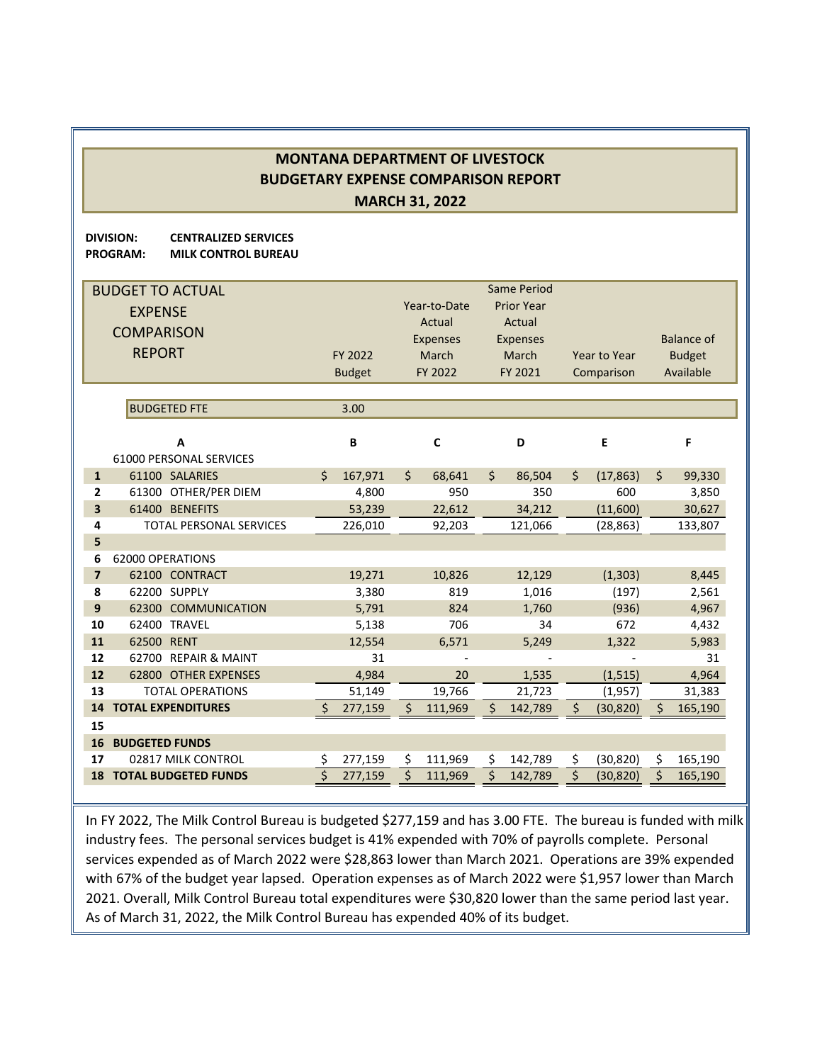**DIVISION: CENTRALIZED SERVICES PROGRAM: MILK CONTROL BUREAU**

|                | <b>BUDGET TO ACTUAL</b><br><b>EXPENSE</b><br><b>COMPARISON</b><br><b>REPORT</b> |              | FY 2022<br><b>Budget</b> | Year-to-Date<br>Actual<br><b>Expenses</b><br>March<br>FY 2022 |             |              | Same Period<br><b>Prior Year</b><br>Actual<br><b>Expenses</b><br>March<br>FY 2021 | Year to Year<br>Comparison |    | <b>Balance of</b><br><b>Budget</b><br>Available |  |
|----------------|---------------------------------------------------------------------------------|--------------|--------------------------|---------------------------------------------------------------|-------------|--------------|-----------------------------------------------------------------------------------|----------------------------|----|-------------------------------------------------|--|
|                | <b>BUDGETED FTE</b>                                                             |              | 3.00                     |                                                               |             |              |                                                                                   |                            |    |                                                 |  |
|                | A                                                                               |              | B                        |                                                               | $\mathbf c$ |              | D                                                                                 | E                          |    | F                                               |  |
|                | <b>61000 PERSONAL SERVICES</b>                                                  |              |                          |                                                               |             |              |                                                                                   |                            |    |                                                 |  |
| $\mathbf{1}$   | 61100 SALARIES                                                                  | Ś.           | 167,971                  | $\zeta$                                                       | 68,641      | $\zeta$      | 86,504                                                                            | \$<br>(17, 863)            | \$ | 99,330                                          |  |
| 2              | 61300 OTHER/PER DIEM                                                            |              | 4,800                    |                                                               | 950         |              | 350                                                                               | 600                        |    | 3,850                                           |  |
| 3              | 61400 BENEFITS                                                                  |              | 53.239                   |                                                               | 22.612      |              | 34,212                                                                            | (11,600)                   |    | 30,627                                          |  |
| 4              | <b>TOTAL PERSONAL SERVICES</b>                                                  |              | 226,010                  |                                                               | 92,203      |              | 121,066                                                                           | (28, 863)                  |    | 133,807                                         |  |
| 5              |                                                                                 |              |                          |                                                               |             |              |                                                                                   |                            |    |                                                 |  |
| 6              | 62000 OPERATIONS                                                                |              |                          |                                                               |             |              |                                                                                   |                            |    |                                                 |  |
| $\overline{7}$ | 62100 CONTRACT                                                                  |              | 19,271                   |                                                               | 10,826      |              | 12,129                                                                            | (1, 303)                   |    | 8,445                                           |  |
| 8              | 62200 SUPPLY                                                                    |              | 3,380                    |                                                               | 819         |              | 1,016                                                                             | (197)                      |    | 2,561                                           |  |
| 9<br>10        | 62300 COMMUNICATION<br>62400 TRAVEL                                             |              | 5,791<br>5,138           |                                                               | 824<br>706  |              | 1.760<br>34                                                                       | (936)<br>672               |    | 4,967<br>4,432                                  |  |
| 11             | 62500 RENT                                                                      |              | 12,554                   |                                                               | 6,571       |              | 5,249                                                                             | 1,322                      |    | 5,983                                           |  |
| 12             | 62700 REPAIR & MAINT                                                            |              | 31                       |                                                               |             |              |                                                                                   |                            |    | 31                                              |  |
| 12             | 62800 OTHER EXPENSES                                                            |              | 4,984                    |                                                               | 20          |              | 1,535                                                                             | (1, 515)                   |    | 4,964                                           |  |
| 13             | <b>TOTAL OPERATIONS</b>                                                         |              | 51,149                   |                                                               | 19,766      |              | 21,723                                                                            | (1,957)                    |    | 31,383                                          |  |
| 14             | <b>TOTAL EXPENDITURES</b>                                                       | <sup>S</sup> | 277,159                  | Ś                                                             | 111,969     | <sup>5</sup> | 142,789                                                                           | \$<br>(30, 820)            | Ś  | 165,190                                         |  |
| 15             |                                                                                 |              |                          |                                                               |             |              |                                                                                   |                            |    |                                                 |  |
| 16             | <b>BUDGETED FUNDS</b>                                                           |              |                          |                                                               |             |              |                                                                                   |                            |    |                                                 |  |
| 17             | 02817 MILK CONTROL                                                              | \$           | 277,159                  | Ś.                                                            | 111,969     | \$           | 142,789                                                                           | \$<br>(30, 820)            | \$ | 165,190                                         |  |
| 18             | <b>TOTAL BUDGETED FUNDS</b>                                                     | Ś            | 277,159                  |                                                               | 111,969     | Ś            | 142,789                                                                           | \$<br>(30, 820)            | \$ | 165,190                                         |  |

In FY 2022, The Milk Control Bureau is budgeted \$277,159 and has 3.00 FTE. The bureau is funded with milk industry fees. The personal services budget is 41% expended with 70% of payrolls complete. Personal services expended as of March 2022 were \$28,863 lower than March 2021. Operations are 39% expended with 67% of the budget year lapsed. Operation expenses as of March 2022 were \$1,957 lower than March 2021. Overall, Milk Control Bureau total expenditures were \$30,820 lower than the same period last year. As of March 31, 2022, the Milk Control Bureau has expended 40% of its budget.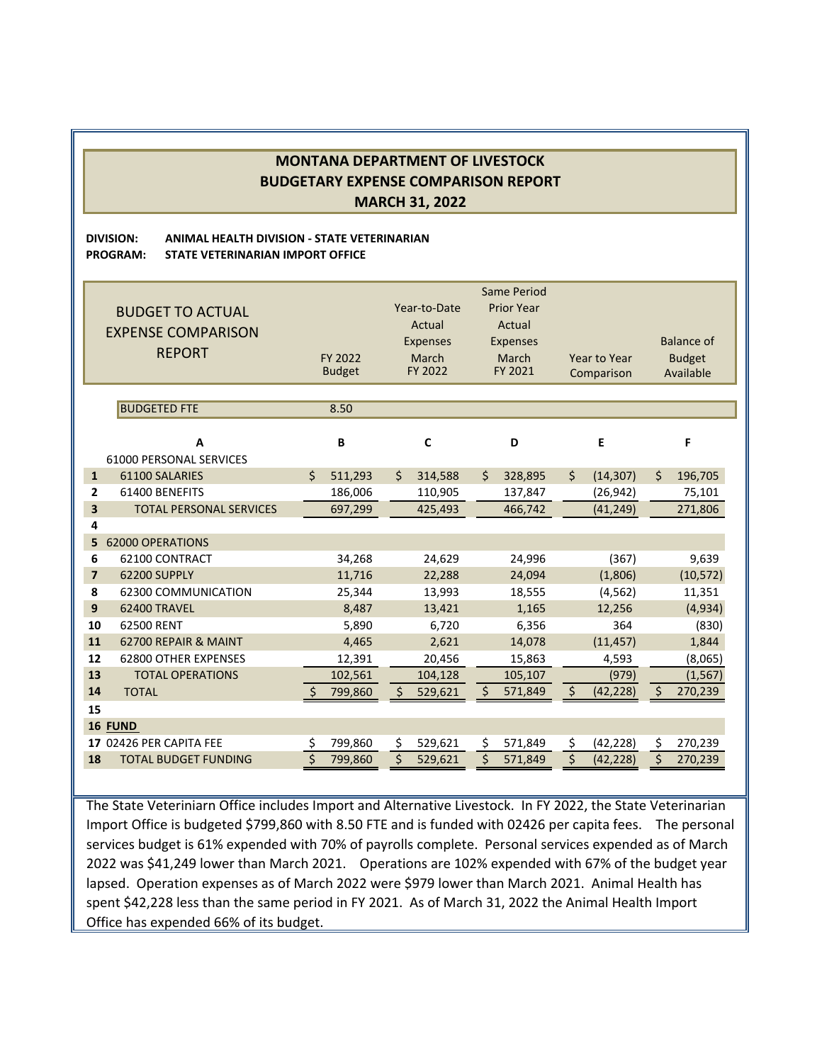### **DIVISION: ANIMAL HEALTH DIVISION ‐ STATE VETERINARIAN PROGRAM: STATE VETERINARIAN IMPORT OFFICE**

|                         | <b>BUDGET TO ACTUAL</b><br><b>EXPENSE COMPARISON</b><br><b>REPORT</b> | FY 2022<br><b>Budget</b> |         |                    | Year-to-Date<br>Actual<br><b>Expenses</b><br>March<br>FY 2022 |    | Same Period<br><b>Prior Year</b><br>Actual<br><b>Expenses</b><br>March<br>FY 2021 |    | Year to Year<br>Comparison |         | <b>Balance of</b><br><b>Budget</b><br>Available |
|-------------------------|-----------------------------------------------------------------------|--------------------------|---------|--------------------|---------------------------------------------------------------|----|-----------------------------------------------------------------------------------|----|----------------------------|---------|-------------------------------------------------|
|                         | <b>BUDGETED FTE</b>                                                   |                          | 8.50    |                    |                                                               |    |                                                                                   |    |                            |         |                                                 |
|                         | A                                                                     |                          | B       |                    | $\mathbf c$                                                   |    | D                                                                                 |    | E                          |         | F                                               |
|                         | 61000 PERSONAL SERVICES                                               |                          |         |                    |                                                               |    |                                                                                   |    |                            |         |                                                 |
| $\mathbf{1}$            | 61100 SALARIES                                                        | Ś.                       | 511,293 | $\mathsf{\hat{S}}$ | 314,588                                                       | \$ | 328,895                                                                           | \$ | (14, 307)                  | \$      | 196,705                                         |
| $\mathbf{2}$            | 61400 BENEFITS                                                        |                          | 186,006 |                    | 110,905                                                       |    | 137,847                                                                           |    | (26, 942)                  |         | 75,101                                          |
| $\overline{\mathbf{3}}$ | <b>TOTAL PERSONAL SERVICES</b>                                        |                          | 697,299 |                    | 425,493                                                       |    | 466,742                                                                           |    | (41, 249)                  |         | 271,806                                         |
| 4<br>5                  | <b>62000 OPERATIONS</b>                                               |                          |         |                    |                                                               |    |                                                                                   |    |                            |         |                                                 |
| 6                       | 62100 CONTRACT                                                        |                          | 34,268  |                    | 24,629                                                        |    | 24,996                                                                            |    | (367)                      |         | 9,639                                           |
| $\overline{7}$          | 62200 SUPPLY                                                          |                          | 11,716  |                    | 22,288                                                        |    | 24,094                                                                            |    | (1,806)                    |         | (10, 572)                                       |
| 8                       | 62300 COMMUNICATION                                                   |                          | 25,344  |                    | 13,993                                                        |    | 18,555                                                                            |    | (4, 562)                   |         | 11,351                                          |
| 9                       | 62400 TRAVEL                                                          |                          | 8,487   |                    | 13,421                                                        |    | 1,165                                                                             |    | 12,256                     |         | (4,934)                                         |
| 10                      | 62500 RENT                                                            |                          | 5,890   |                    | 6,720                                                         |    | 6,356                                                                             |    | 364                        |         | (830)                                           |
| 11                      | 62700 REPAIR & MAINT                                                  |                          | 4,465   |                    | 2,621                                                         |    | 14,078                                                                            |    | (11, 457)                  |         | 1,844                                           |
| 12                      | 62800 OTHER EXPENSES                                                  |                          | 12,391  |                    | 20,456                                                        |    | 15,863                                                                            |    | 4,593                      |         | (8,065)                                         |
| 13                      | <b>TOTAL OPERATIONS</b>                                               |                          | 102,561 |                    | 104,128                                                       |    | 105,107                                                                           |    | (979)                      |         | (1, 567)                                        |
| 14                      | <b>TOTAL</b>                                                          |                          | 799,860 | \$                 | 529,621                                                       | \$ | 571,849                                                                           | \$ | (42, 228)                  | $\zeta$ | 270,239                                         |
| 15                      |                                                                       |                          |         |                    |                                                               |    |                                                                                   |    |                            |         |                                                 |
|                         | <b>16 FUND</b>                                                        |                          |         |                    |                                                               |    |                                                                                   |    |                            |         |                                                 |
|                         | 17 02426 PER CAPITA FEE                                               |                          | 799,860 | Ŝ.                 | 529,621                                                       | \$ | 571,849                                                                           | \$ | (42, 228)                  | \$      | 270,239                                         |
| 18                      | <b>TOTAL BUDGET FUNDING</b>                                           |                          | 799,860 | Ś                  | 529,621                                                       | Ś  | 571,849                                                                           | Ś  | (42, 228)                  | Ś       | 270,239                                         |

The State Veteriniarn Office includes Import and Alternative Livestock. In FY 2022, the State Veterinarian Import Office is budgeted \$799,860 with 8.50 FTE and is funded with 02426 per capita fees. The personal services budget is 61% expended with 70% of payrolls complete. Personal services expended as of March 2022 was \$41,249 lower than March 2021. Operations are 102% expended with 67% of the budget year lapsed. Operation expenses as of March 2022 were \$979 lower than March 2021. Animal Health has spent \$42,228 less than the same period in FY 2021. As of March 31, 2022 the Animal Health Import Office has expended 66% of its budget.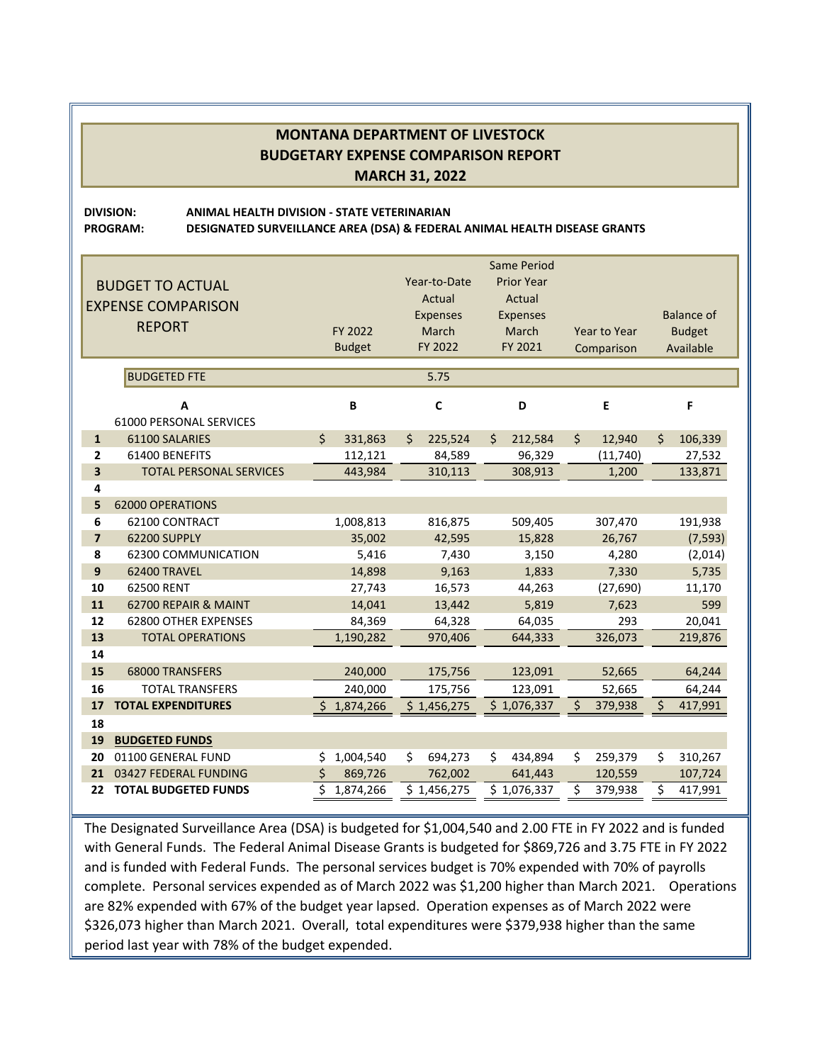**DIVISION: ANIMAL HEALTH DIVISION ‐ STATE VETERINARIAN PROGRAM: DESIGNATED SURVEILLANCE AREA (DSA) & FEDERAL ANIMAL HEALTH DISEASE GRANTS**

|                |                                |    |               |    |                 | <b>Same Period</b> |                   |                     |            |                   |           |
|----------------|--------------------------------|----|---------------|----|-----------------|--------------------|-------------------|---------------------|------------|-------------------|-----------|
|                | <b>BUDGET TO ACTUAL</b>        |    |               |    | Year-to-Date    |                    | <b>Prior Year</b> |                     |            |                   |           |
|                | <b>EXPENSE COMPARISON</b>      |    |               |    | Actual          |                    | Actual            |                     |            |                   |           |
|                |                                |    |               |    | <b>Expenses</b> | <b>Expenses</b>    |                   |                     |            | <b>Balance of</b> |           |
|                | <b>REPORT</b>                  |    | FY 2022       |    | March           | March              |                   | <b>Year to Year</b> |            | <b>Budget</b>     |           |
|                |                                |    | <b>Budget</b> |    | FY 2022         |                    | FY 2021           |                     | Comparison |                   | Available |
|                | <b>BUDGETED FTE</b>            |    | 5.75          |    |                 |                    |                   |                     |            |                   |           |
|                |                                |    |               |    |                 |                    |                   |                     |            |                   |           |
|                | A                              |    | B             |    | C               |                    | D                 |                     | E          |                   | F         |
|                | <b>61000 PERSONAL SERVICES</b> |    |               |    |                 |                    |                   |                     |            |                   |           |
| $\mathbf{1}$   | 61100 SALARIES                 | Ś  | 331,863       | Ś  | 225,524         | Ś.                 | 212,584           | \$                  | 12,940     | \$                | 106,339   |
| $\overline{2}$ | 61400 BENEFITS                 |    | 112,121       |    | 84,589          |                    | 96,329            |                     | (11,740)   |                   | 27,532    |
| 3              | <b>TOTAL PERSONAL SERVICES</b> |    | 443,984       |    | 310,113         |                    | 308,913           |                     | 1,200      |                   | 133,871   |
| 4              |                                |    |               |    |                 |                    |                   |                     |            |                   |           |
| 5              | <b>62000 OPERATIONS</b>        |    |               |    |                 |                    |                   |                     |            |                   |           |
| 6              | 62100 CONTRACT                 |    | 1,008,813     |    | 816,875         |                    | 509,405           |                     | 307,470    |                   | 191,938   |
| $\overline{7}$ | 62200 SUPPLY                   |    | 35,002        |    | 42,595          |                    | 15,828            |                     | 26,767     |                   | (7, 593)  |
| 8              | 62300 COMMUNICATION            |    | 5,416         |    | 7,430           |                    | 3,150             |                     | 4,280      |                   | (2,014)   |
| 9              | 62400 TRAVEL                   |    | 14,898        |    | 9,163           |                    | 1,833             |                     | 7,330      |                   | 5,735     |
| 10             | 62500 RENT                     |    | 27,743        |    | 16,573          |                    | 44,263            |                     | (27,690)   |                   | 11,170    |
| 11             | 62700 REPAIR & MAINT           |    | 14,041        |    | 13,442          |                    | 5,819             |                     | 7,623      |                   | 599       |
| 12             | 62800 OTHER EXPENSES           |    | 84,369        |    | 64,328          |                    | 64,035            |                     | 293        |                   | 20,041    |
| 13             | <b>TOTAL OPERATIONS</b>        |    | 1,190,282     |    | 970,406         |                    | 644,333           |                     | 326,073    |                   | 219,876   |
| 14             |                                |    |               |    |                 |                    |                   |                     |            |                   |           |
| 15             | <b>68000 TRANSFERS</b>         |    | 240,000       |    | 175,756         |                    | 123,091           |                     | 52,665     |                   | 64,244    |
| 16             | <b>TOTAL TRANSFERS</b>         |    | 240,000       |    | 175,756         |                    | 123,091           |                     | 52,665     |                   | 64,244    |
| 17             | <b>TOTAL EXPENDITURES</b>      | Ŝ. | 1,874,266     |    | \$1,456,275     |                    | \$1,076,337       | $\zeta$             | 379,938    | \$                | 417,991   |
| 18             |                                |    |               |    |                 |                    |                   |                     |            |                   |           |
| 19             | <b>BUDGETED FUNDS</b>          |    |               |    |                 |                    |                   |                     |            |                   |           |
| 20             | 01100 GENERAL FUND             | \$ | 1,004,540     | Ś. | 694,273         | \$                 | 434,894           | \$                  | 259,379    | \$                | 310,267   |
| 21             | 03427 FEDERAL FUNDING          | Ś  | 869,726       |    | 762,002         |                    | 641,443           |                     | 120,559    |                   | 107,724   |
| 22             | <b>TOTAL BUDGETED FUNDS</b>    | \$ | 1,874,266     |    | \$1,456,275     |                    | \$1,076,337       | \$                  | 379,938    | \$                | 417,991   |

The Designated Surveillance Area (DSA) is budgeted for \$1,004,540 and 2.00 FTE in FY 2022 and is funded with General Funds. The Federal Animal Disease Grants is budgeted for \$869,726 and 3.75 FTE in FY 2022 and is funded with Federal Funds. The personal services budget is 70% expended with 70% of payrolls complete. Personal services expended as of March 2022 was \$1,200 higher than March 2021. Operations are 82% expended with 67% of the budget year lapsed. Operation expenses as of March 2022 were \$326,073 higher than March 2021. Overall, total expenditures were \$379,938 higher than the same period last year with 78% of the budget expended.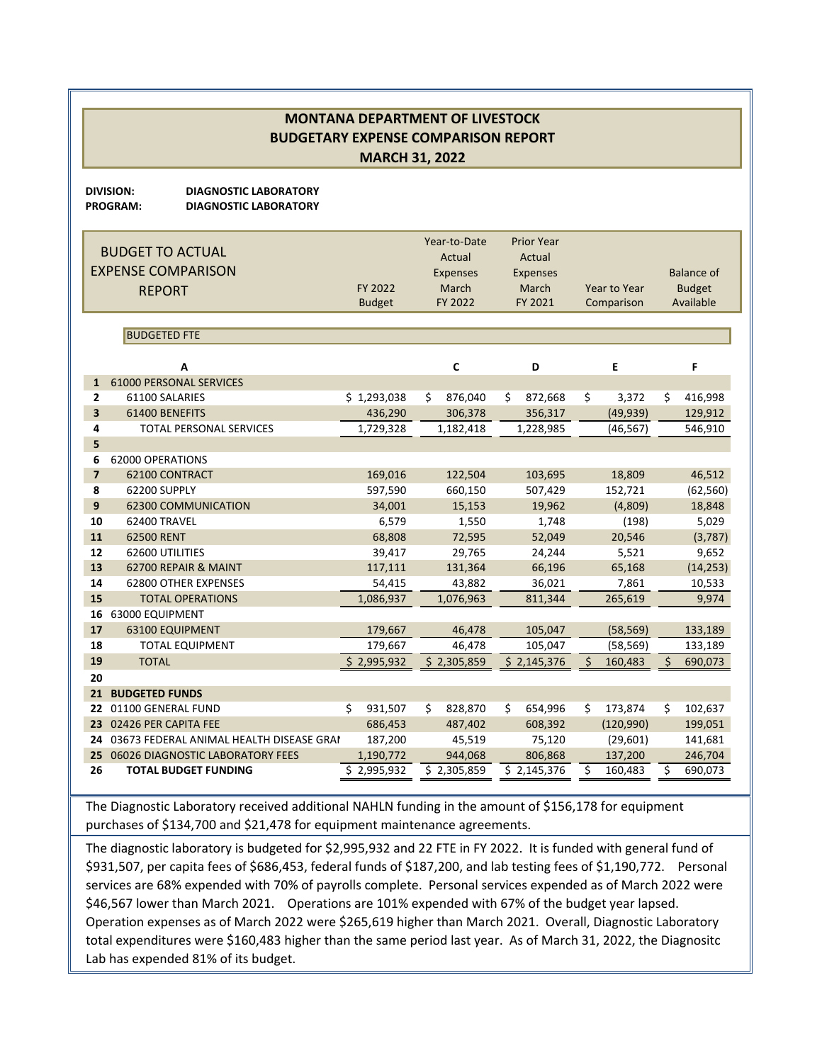**DIVISION: DIAGNOSTIC LABORATORY**

**PROGRAM: DIAGNOSTIC LABORATORY**

|                         | <b>BUDGET TO ACTUAL</b><br><b>EXPENSE COMPARISON</b><br><b>REPORT</b> | FY 2022<br><b>Budget</b> | Year-to-Date<br>Actual<br><b>Expenses</b><br>March<br>FY 2022 | <b>Prior Year</b><br>Actual<br><b>Expenses</b><br>March<br>FY 2021 | <b>Year to Year</b><br>Comparison | <b>Balance of</b><br><b>Budget</b><br>Available |
|-------------------------|-----------------------------------------------------------------------|--------------------------|---------------------------------------------------------------|--------------------------------------------------------------------|-----------------------------------|-------------------------------------------------|
|                         | <b>BUDGETED FTE</b>                                                   |                          |                                                               |                                                                    |                                   |                                                 |
|                         | A                                                                     |                          | C                                                             | D                                                                  | E                                 | F                                               |
| $\mathbf{1}$            | <b>61000 PERSONAL SERVICES</b>                                        |                          |                                                               |                                                                    |                                   |                                                 |
| $\overline{2}$          | 61100 SALARIES                                                        | \$1,293,038              | 876,040<br>\$                                                 | \$<br>872,668                                                      | \$<br>3,372                       | \$<br>416,998                                   |
| $\overline{\mathbf{3}}$ | 61400 BENEFITS                                                        | 436,290                  | 306,378                                                       | 356,317                                                            | (49, 939)                         | 129,912                                         |
| 4                       | <b>TOTAL PERSONAL SERVICES</b>                                        | 1,729,328                | 1,182,418                                                     | 1,228,985                                                          | (46, 567)                         | 546,910                                         |
| 5                       |                                                                       |                          |                                                               |                                                                    |                                   |                                                 |
| 6                       | 62000 OPERATIONS                                                      |                          |                                                               |                                                                    |                                   |                                                 |
| $\overline{7}$          | 62100 CONTRACT                                                        | 169,016                  | 122,504                                                       | 103,695                                                            | 18,809                            | 46,512                                          |
| 8                       | 62200 SUPPLY                                                          | 597,590                  | 660,150                                                       | 507,429                                                            | 152,721                           | (62, 560)                                       |
| 9                       | <b>62300 COMMUNICATION</b>                                            | 34,001                   | 15,153                                                        | 19,962                                                             | (4,809)                           | 18,848                                          |
| 10                      | 62400 TRAVEL                                                          | 6,579                    | 1,550                                                         | 1,748                                                              | (198)                             | 5,029                                           |
| 11                      | 62500 RENT                                                            | 68,808                   | 72,595                                                        | 52,049                                                             | 20,546                            | (3,787)                                         |
| 12                      | 62600 UTILITIES                                                       | 39,417                   | 29,765                                                        | 24,244                                                             | 5,521                             | 9,652                                           |
| 13                      | 62700 REPAIR & MAINT                                                  | 117,111                  | 131,364                                                       | 66,196                                                             | 65,168                            | (14, 253)                                       |
| 14                      | <b>62800 OTHER EXPENSES</b>                                           | 54,415                   | 43,882                                                        | 36,021                                                             | 7,861                             | 10,533                                          |
| 15                      | <b>TOTAL OPERATIONS</b>                                               | 1,086,937                | 1,076,963                                                     | 811,344                                                            | 265,619                           | 9,974                                           |
| 16                      | 63000 EQUIPMENT                                                       |                          |                                                               |                                                                    |                                   |                                                 |
| 17                      | 63100 EQUIPMENT                                                       | 179,667                  | 46,478                                                        | 105,047                                                            | (58, 569)                         | 133,189                                         |
| 18<br>19                | <b>TOTAL EQUIPMENT</b>                                                | 179,667                  | 46,478                                                        | 105,047                                                            | (58, 569)                         | 133,189                                         |
| 20                      | <b>TOTAL</b>                                                          | \$2,995,932              | \$2,305,859                                                   | \$2,145,376                                                        | Ś.<br>160,483                     | \$<br>690,073                                   |
| 21                      | <b>BUDGETED FUNDS</b>                                                 |                          |                                                               |                                                                    |                                   |                                                 |
| 22                      | 01100 GENERAL FUND                                                    | Ś<br>931,507             | Ś.<br>828,870                                                 | Ś.<br>654,996                                                      | Ś<br>173,874                      | Ś.<br>102,637                                   |
| 23                      | 02426 PER CAPITA FEE                                                  | 686,453                  | 487,402                                                       | 608,392                                                            | (120,990)                         | 199,051                                         |
|                         | 24 03673 FEDERAL ANIMAL HEALTH DISEASE GRAN                           | 187,200                  | 45,519                                                        | 75,120                                                             | (29,601)                          | 141,681                                         |
| 25                      | 06026 DIAGNOSTIC LABORATORY FEES                                      | 1,190,772                | 944,068                                                       | 806,868                                                            | 137,200                           | 246,704                                         |
| 26                      | <b>TOTAL BUDGET FUNDING</b>                                           | \$2,995,932              | \$2,305,859                                                   | \$2,145,376                                                        | \$<br>160,483                     | \$<br>690,073                                   |

The Diagnostic Laboratory received additional NAHLN funding in the amount of \$156,178 for equipment purchases of \$134,700 and \$21,478 for equipment maintenance agreements.

The diagnostic laboratory is budgeted for \$2,995,932 and 22 FTE in FY 2022. It is funded with general fund of \$931,507, per capita fees of \$686,453, federal funds of \$187,200, and lab testing fees of \$1,190,772. Personal services are 68% expended with 70% of payrolls complete. Personal services expended as of March 2022 were \$46,567 lower than March 2021. Operations are 101% expended with 67% of the budget year lapsed. Operation expenses as of March 2022 were \$265,619 higher than March 2021. Overall, Diagnostic Laboratory total expenditures were \$160,483 higher than the same period last year. As of March 31, 2022, the Diagnositc Lab has expended 81% of its budget.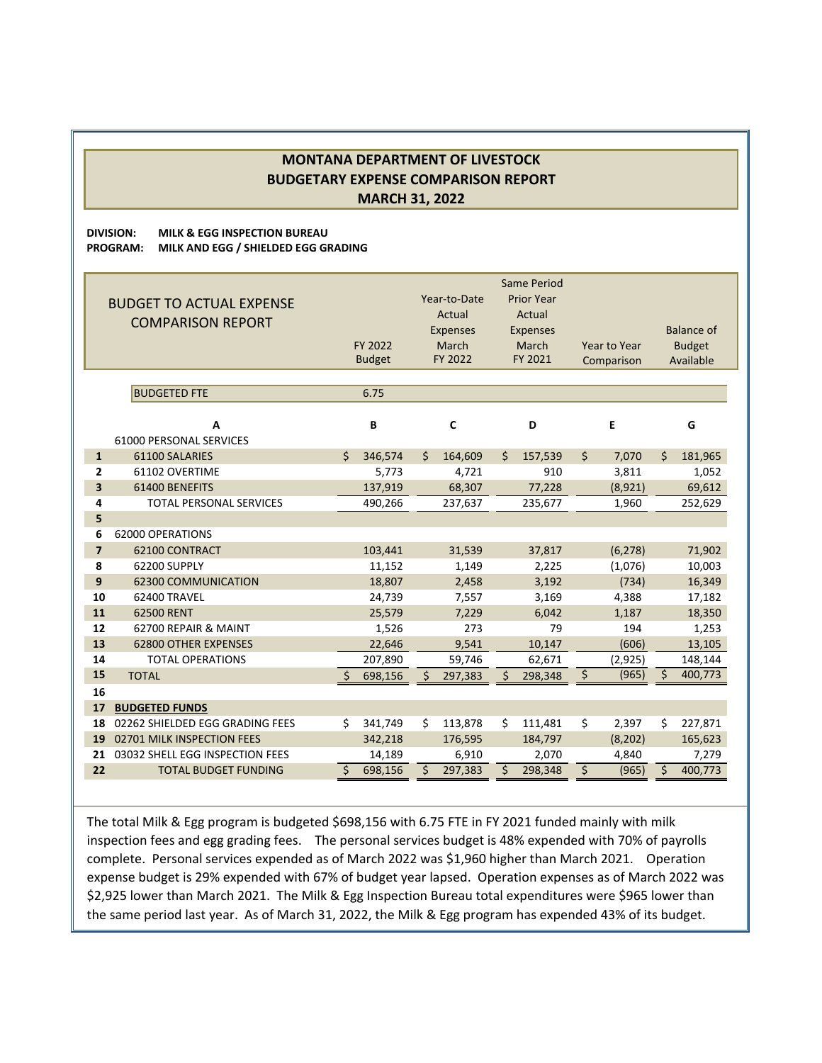**DIVISION: MILK & EGG INSPECTION BUREAU PROGRAM: MILK AND EGG / SHIELDED EGG GRADING**

|                         | <b>BUDGET TO ACTUAL EXPENSE</b><br><b>COMPARISON REPORT</b> |    | FY 2022<br><b>Budget</b> |    | Year-to-Date<br>Actual<br><b>Expenses</b><br>March<br>FY 2022 |    | <b>Same Period</b><br><b>Prior Year</b><br>Actual<br><b>Expenses</b><br>March<br>FY 2021 | Year to Year<br>Comparison |    | <b>Balance of</b><br><b>Budget</b><br>Available |
|-------------------------|-------------------------------------------------------------|----|--------------------------|----|---------------------------------------------------------------|----|------------------------------------------------------------------------------------------|----------------------------|----|-------------------------------------------------|
|                         | <b>BUDGETED FTE</b>                                         |    | 6.75                     |    |                                                               |    |                                                                                          |                            |    |                                                 |
|                         |                                                             |    |                          |    |                                                               |    |                                                                                          |                            |    |                                                 |
|                         | A                                                           |    | B                        |    | C                                                             |    | D                                                                                        | E                          |    | G                                               |
|                         | 61000 PERSONAL SERVICES                                     |    |                          |    |                                                               |    |                                                                                          |                            |    |                                                 |
| $\mathbf{1}$            | 61100 SALARIES                                              | Ś. | 346,574                  | Ŝ. | 164,609                                                       | \$ | 157,539                                                                                  | \$<br>7,070                | \$ | 181,965                                         |
| $\overline{2}$          | 61102 OVERTIME                                              |    | 5,773                    |    | 4,721                                                         |    | 910                                                                                      | 3,811                      |    | 1,052                                           |
| $\overline{\mathbf{3}}$ | 61400 BENEFITS                                              |    | 137,919                  |    | 68,307                                                        |    | 77,228                                                                                   | (8,921)                    |    | 69,612                                          |
| 4                       | <b>TOTAL PERSONAL SERVICES</b>                              |    | 490,266                  |    | 237,637                                                       |    | 235,677                                                                                  | 1,960                      |    | 252,629                                         |
| 5                       |                                                             |    |                          |    |                                                               |    |                                                                                          |                            |    |                                                 |
| 6<br>$\overline{7}$     | 62000 OPERATIONS                                            |    |                          |    |                                                               |    |                                                                                          |                            |    |                                                 |
| 8                       | 62100 CONTRACT<br>62200 SUPPLY                              |    | 103,441<br>11,152        |    | 31,539<br>1,149                                               |    | 37,817<br>2,225                                                                          | (6, 278)<br>(1,076)        |    | 71,902                                          |
| 9                       | <b>62300 COMMUNICATION</b>                                  |    | 18,807                   |    | 2,458                                                         |    | 3,192                                                                                    | (734)                      |    | 10,003<br>16,349                                |
| 10                      | 62400 TRAVEL                                                |    | 24,739                   |    | 7,557                                                         |    | 3,169                                                                                    | 4,388                      |    | 17,182                                          |
| 11                      | 62500 RENT                                                  |    | 25,579                   |    | 7,229                                                         |    | 6,042                                                                                    | 1,187                      |    | 18,350                                          |
| 12                      | 62700 REPAIR & MAINT                                        |    | 1,526                    |    | 273                                                           |    | 79                                                                                       | 194                        |    | 1,253                                           |
| 13                      | <b>62800 OTHER EXPENSES</b>                                 |    | 22,646                   |    | 9,541                                                         |    | 10,147                                                                                   | (606)                      |    | 13,105                                          |
| 14                      | <b>TOTAL OPERATIONS</b>                                     |    | 207,890                  |    | 59,746                                                        |    | 62,671                                                                                   | (2, 925)                   |    | 148,144                                         |
| 15                      | <b>TOTAL</b>                                                | Ś. | 698,156                  | Ś  | 297,383                                                       | Ś  | 298,348                                                                                  | \$<br>(965)                | \$ | 400,773                                         |
| 16                      |                                                             |    |                          |    |                                                               |    |                                                                                          |                            |    |                                                 |
| 17                      | <b>BUDGETED FUNDS</b>                                       |    |                          |    |                                                               |    |                                                                                          |                            |    |                                                 |
| 18                      | 02262 SHIELDED EGG GRADING FEES                             | \$ | 341,749                  | Ś. | 113,878                                                       | Ś. | 111,481                                                                                  | \$<br>2,397                | Ś. | 227,871                                         |
| 19                      | 02701 MILK INSPECTION FEES                                  |    | 342,218                  |    | 176,595                                                       |    | 184,797                                                                                  | (8, 202)                   |    | 165,623                                         |
| 21                      | 03032 SHELL EGG INSPECTION FEES                             |    | 14,189                   |    | 6,910                                                         |    | 2,070                                                                                    | 4,840                      |    | 7,279                                           |
| 22                      | <b>TOTAL BUDGET FUNDING</b>                                 | \$ | 698,156                  | Ś. | 297,383                                                       | \$ | 298,348                                                                                  | \$<br>(965)                | \$ | 400,773                                         |

The total Milk & Egg program is budgeted \$698,156 with 6.75 FTE in FY 2021 funded mainly with milk inspection fees and egg grading fees. The personal services budget is 48% expended with 70% of payrolls complete. Personal services expended as of March 2022 was \$1,960 higher than March 2021. Operation expense budget is 29% expended with 67% of budget year lapsed. Operation expenses as of March 2022 was \$2,925 lower than March 2021. The Milk & Egg Inspection Bureau total expenditures were \$965 lower than the same period last year. As of March 31, 2022, the Milk & Egg program has expended 43% of its budget.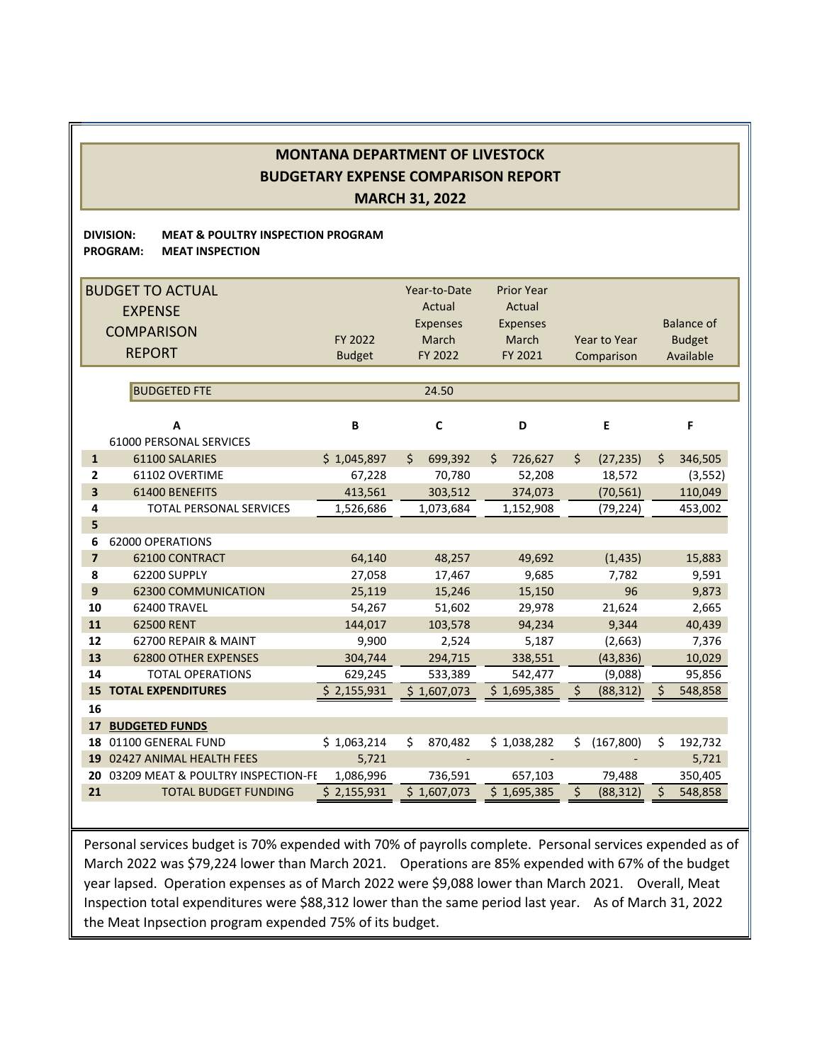#### **DIVISION: MEAT & POULTRY INSPECTION PROGRAM PROGRAM: MEAT INSPECTION**

|                         | <b>BUDGET TO ACTUAL</b>                    |                   | Year-to-Date      | <b>Prior Year</b> |                      |                   |
|-------------------------|--------------------------------------------|-------------------|-------------------|-------------------|----------------------|-------------------|
|                         | <b>EXPENSE</b>                             |                   | Actual            | Actual            |                      |                   |
|                         |                                            |                   | <b>Expenses</b>   | <b>Expenses</b>   |                      | <b>Balance of</b> |
|                         | <b>COMPARISON</b>                          | FY 2022           | March             | March             | <b>Year to Year</b>  | <b>Budget</b>     |
|                         | <b>REPORT</b>                              | <b>Budget</b>     | FY 2022           | FY 2021           | Comparison           | Available         |
|                         |                                            |                   |                   |                   |                      |                   |
|                         | <b>BUDGETED FTE</b>                        |                   | 24.50             |                   |                      |                   |
|                         |                                            |                   |                   |                   |                      |                   |
|                         | A                                          | B                 | $\mathbf c$       | D                 | E                    | F                 |
|                         | 61000 PERSONAL SERVICES                    |                   |                   |                   |                      |                   |
| $\mathbf{1}$            | 61100 SALARIES                             | \$1,045,897       | Ś.<br>699,392     | Ś.<br>726,627     | \$<br>(27, 235)      | \$<br>346,505     |
| $\mathbf{z}$            | 61102 OVERTIME                             | 67,228            | 70,780            | 52,208            | 18,572               | (3, 552)          |
| $\overline{\mathbf{3}}$ | 61400 BENEFITS                             | 413,561           | 303,512           | 374,073           | (70, 561)            | 110,049           |
| 4                       | <b>TOTAL PERSONAL SERVICES</b>             | 1,526,686         | 1,073,684         | 1,152,908         | (79, 224)            | 453,002           |
| 5                       |                                            |                   |                   |                   |                      |                   |
| 6                       | 62000 OPERATIONS                           |                   |                   |                   |                      |                   |
| $\overline{7}$          | 62100 CONTRACT                             | 64,140            | 48,257            | 49,692            | (1, 435)             | 15,883            |
| 8<br>9                  | 62200 SUPPLY<br><b>62300 COMMUNICATION</b> | 27,058            | 17,467            | 9,685             | 7.782<br>96          | 9,591             |
| 10                      | 62400 TRAVEL                               | 25,119            | 15,246            | 15,150            |                      | 9,873             |
| 11                      | 62500 RENT                                 | 54,267<br>144,017 | 51,602<br>103,578 | 29,978<br>94,234  | 21,624<br>9,344      | 2,665<br>40,439   |
| 12                      | 62700 REPAIR & MAINT                       | 9,900             | 2,524             | 5,187             | (2,663)              | 7,376             |
| 13                      | <b>62800 OTHER EXPENSES</b>                | 304,744           | 294,715           | 338,551           | (43, 836)            | 10,029            |
| 14                      | <b>TOTAL OPERATIONS</b>                    | 629,245           | 533,389           | 542,477           | (9,088)              | 95,856            |
| 15                      | <b>TOTAL EXPENDITURES</b>                  | \$2,155,931       | \$1,607,073       | \$1,695,385       | \$<br>(88, 312)      | Ś.<br>548,858     |
| 16                      |                                            |                   |                   |                   |                      |                   |
| 17                      | <b>BUDGETED FUNDS</b>                      |                   |                   |                   |                      |                   |
| 18                      | 01100 GENERAL FUND                         | \$1,063,214       | Ś.<br>870,482     | \$1,038,282       | (167, 800)<br>Ś.     | Ś.<br>192,732     |
| 19                      | 02427 ANIMAL HEALTH FEES                   | 5,721             |                   |                   |                      | 5,721             |
| 20                      | 03209 MEAT & POULTRY INSPECTION-FE         | 1,086,996         | 736,591           | 657,103           | 79,488               | 350,405           |
| 21                      | <b>TOTAL BUDGET FUNDING</b>                | \$2,155,931       | \$1,607,073       | \$1,695,385       | $\zeta$<br>(88, 312) | \$<br>548,858     |
|                         |                                            |                   |                   |                   |                      |                   |

Personal services budget is 70% expended with 70% of payrolls complete. Personal services expended as of March 2022 was \$79,224 lower than March 2021. Operations are 85% expended with 67% of the budget year lapsed. Operation expenses as of March 2022 were \$9,088 lower than March 2021. Overall, Meat Inspection total expenditures were \$88,312 lower than the same period last year. As of March 31, 2022 the Meat Inpsection program expended 75% of its budget.